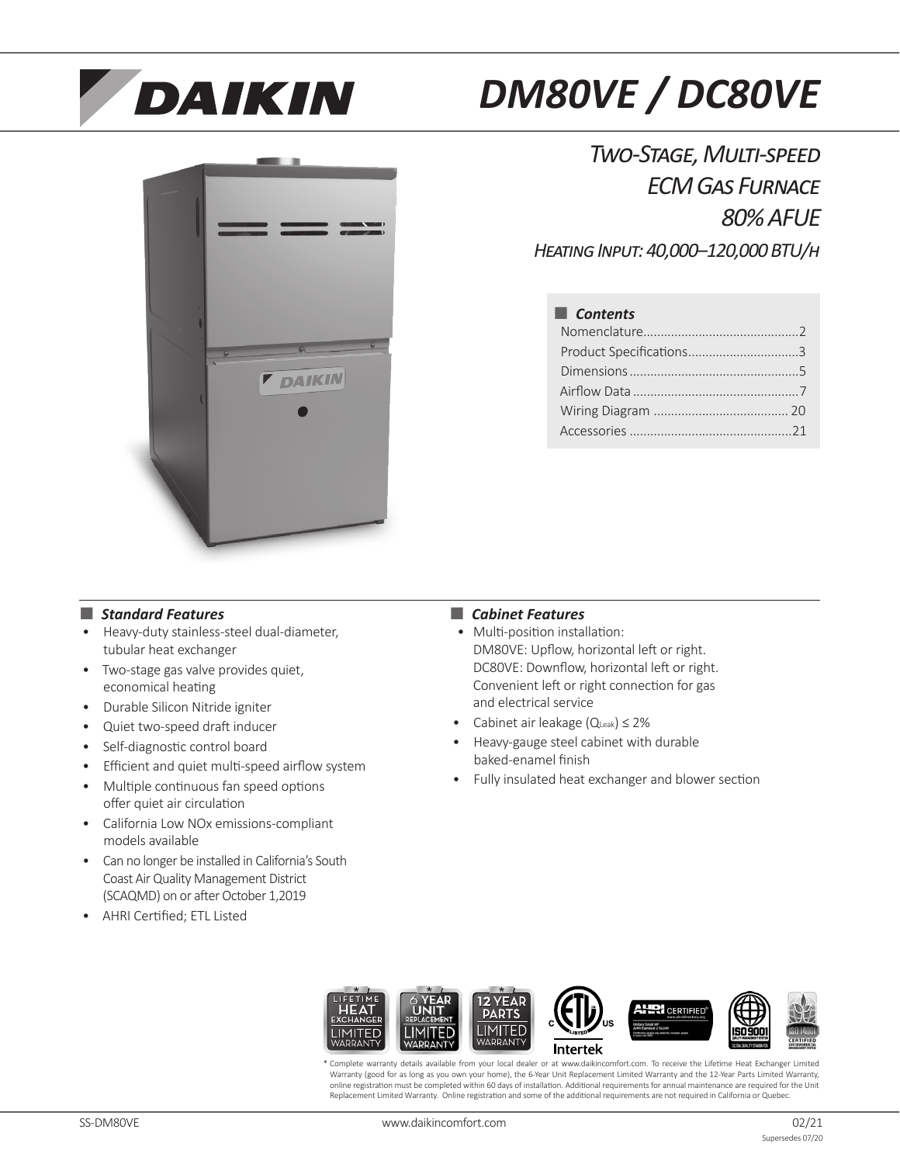

# *DM80VE / DC80VE*



*Two-Stage, Multi-speed ECM Gas Furnace 80% AFUE Heating Input: 40,000–120,000 BTU/h*

■ *Contents* Nomenclature.............................................2 Product Specifications................................3 Dimensions.................................................5 Airflow Data ................................................7 Wiring Diagram ....................................... 20 Accessories...............................................21

## ■ *Standard Features*

- Heavy-duty stainless-steel dual-diameter, tubular heat exchanger
- Two-stage gas valve provides quiet, economical heating
- Durable Silicon Nitride igniter
- Quiet two-speed draft inducer
- Self-diagnostic control board
- Efficient and quiet multi-speed airflow system
- Multiple continuous fan speed options offer quiet air circulation
- California Low NOx emissions-compliant models available
- Can no longer be installed in California's South Coast Air Quality Management District (SCAQMD) on or after October 1,2019
- AHRI Certified; ETL Listed

## ■ *Cabinet Features*

- Multi-position installation: DM80VE: Upflow, horizontal left or right. DC80VE: Downflow, horizontal left or right. Convenient left or right connection for gas and electrical service
- Cabinet air leakage (QLeak) ≤ 2%
- Heavy-gauge steel cabinet with durable baked-enamel finish
- Fully insulated heat exchanger and blower section



Complete warranty details available from your local dealer or at www.daikincomfort.com. To receive the Lifetime Heat Exchanger Limited Warranty (good for as long as you own your home), the 6-Year Unit Replacement Limited Warranty and the 12-Year Parts Limited Warranty, online registration must be completed within 60 days of installation. Additional requirements for annual maintenance are required for the Unit Replacement Limited Warranty. Online registration and some of the additional requirements are not required in California or Quebec.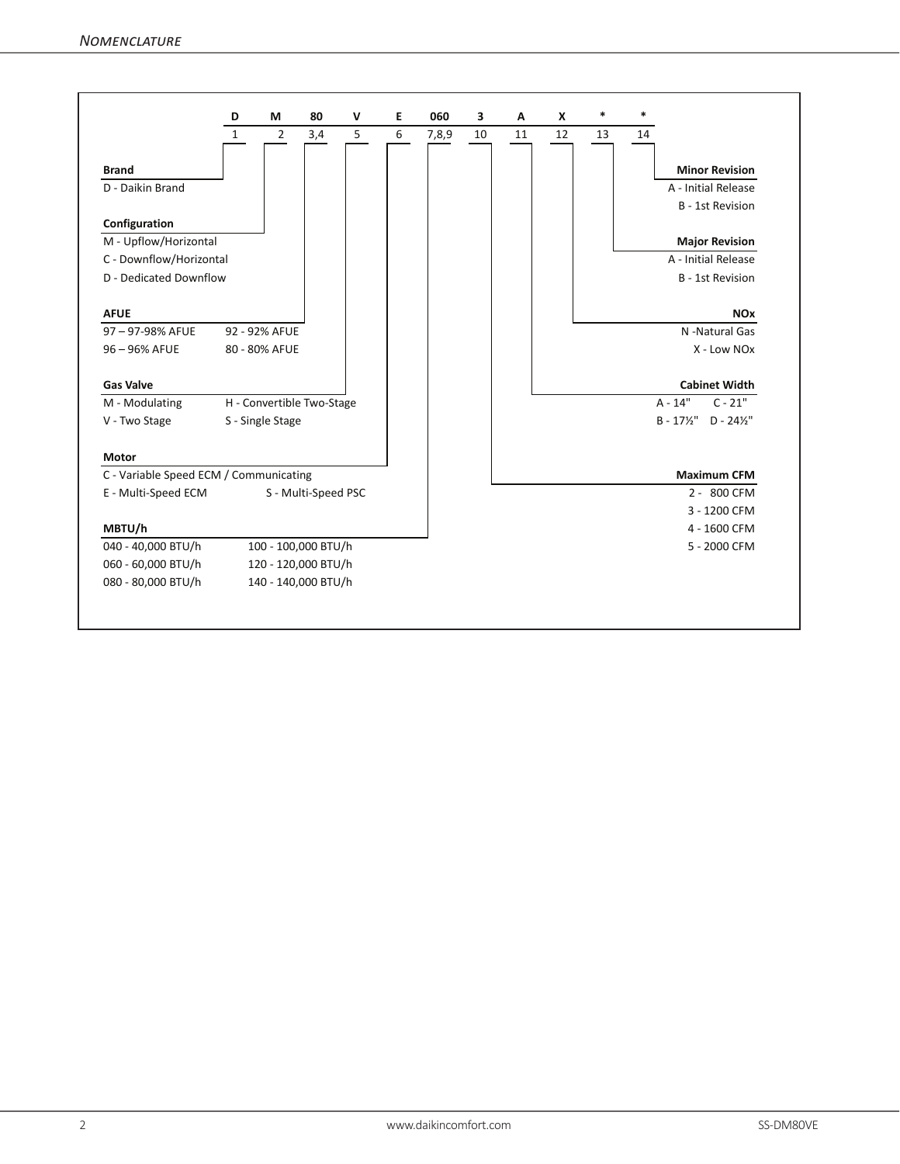|                                        | D            | M                | 80                        | $\mathsf{v}$ | E | 060   | 3  | A  | X  | $\ast$ | $\ast$ |                                              |
|----------------------------------------|--------------|------------------|---------------------------|--------------|---|-------|----|----|----|--------|--------|----------------------------------------------|
|                                        | $\mathbf{1}$ | $\overline{2}$   | 3,4                       | 5            | 6 | 7,8,9 | 10 | 11 | 12 | 13     | 14     |                                              |
| <b>Brand</b>                           |              |                  |                           |              |   |       |    |    |    |        |        | <b>Minor Revision</b>                        |
| D - Daikin Brand                       |              |                  |                           |              |   |       |    |    |    |        |        | A - Initial Release                          |
|                                        |              |                  |                           |              |   |       |    |    |    |        |        | <b>B</b> - 1st Revision                      |
| Configuration                          |              |                  |                           |              |   |       |    |    |    |        |        |                                              |
| M - Upflow/Horizontal                  |              |                  |                           |              |   |       |    |    |    |        |        | <b>Major Revision</b>                        |
| C - Downflow/Horizontal                |              |                  |                           |              |   |       |    |    |    |        |        | A - Initial Release                          |
| D - Dedicated Downflow                 |              |                  |                           |              |   |       |    |    |    |        |        | B - 1st Revision                             |
| <b>AFUE</b>                            |              |                  |                           |              |   |       |    |    |    |        |        | <b>NO<sub>x</sub></b>                        |
| 97-97-98% AFUE                         |              | 92 - 92% AFUE    |                           |              |   |       |    |    |    |        |        | N -Natural Gas                               |
| 96-96% AFUE                            |              | 80 - 80% AFUE    |                           |              |   |       |    |    |    |        |        | X - Low NOx                                  |
| <b>Gas Valve</b>                       |              |                  |                           |              |   |       |    |    |    |        |        | <b>Cabinet Width</b>                         |
| M - Modulating                         |              |                  | H - Convertible Two-Stage |              |   |       |    |    |    |        |        | $A - 14"$<br>$C - 21"$                       |
| V - Two Stage                          |              | S - Single Stage |                           |              |   |       |    |    |    |        |        | $B - 17\frac{1}{2}$ " D - 24 $\frac{1}{2}$ " |
| Motor                                  |              |                  |                           |              |   |       |    |    |    |        |        |                                              |
| C - Variable Speed ECM / Communicating |              |                  |                           |              |   |       |    |    |    |        |        | <b>Maximum CFM</b>                           |
| E - Multi-Speed ECM                    |              |                  | S - Multi-Speed PSC       |              |   |       |    |    |    |        |        | 2 - 800 CFM                                  |
|                                        |              |                  |                           |              |   |       |    |    |    |        |        | 3 - 1200 CFM                                 |
| MBTU/h                                 |              |                  |                           |              |   |       |    |    |    |        |        | 4 - 1600 CFM                                 |
| 040 - 40,000 BTU/h                     |              |                  | 100 - 100,000 BTU/h       |              |   |       |    |    |    |        |        | 5 - 2000 CFM                                 |
| 060 - 60,000 BTU/h                     |              |                  | 120 - 120,000 BTU/h       |              |   |       |    |    |    |        |        |                                              |
| 080 - 80,000 BTU/h                     |              |                  | 140 - 140,000 BTU/h       |              |   |       |    |    |    |        |        |                                              |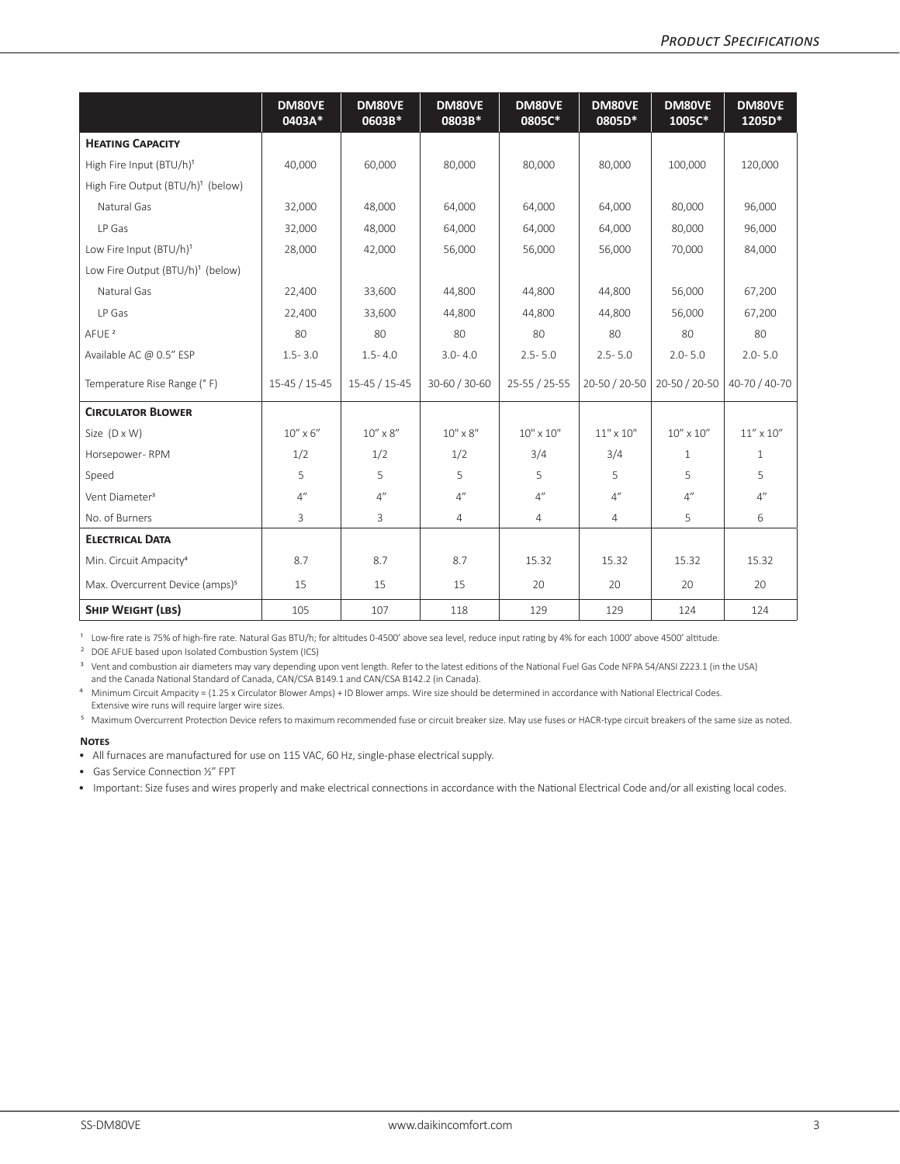|                                               | DM80VE<br>0403A* | DM80VE<br>0603B*  | DM80VE<br>0803B* | DM80VE<br>0805C* | DM80VE<br>0805D* | DM80VE<br>1005C*   | DM80VE<br>1205D*   |
|-----------------------------------------------|------------------|-------------------|------------------|------------------|------------------|--------------------|--------------------|
| <b>HEATING CAPACITY</b>                       |                  |                   |                  |                  |                  |                    |                    |
| High Fire Input (BTU/h) <sup>1</sup>          | 40,000           | 60,000            | 80,000           | 80,000           | 80,000           | 100,000            | 120,000            |
| High Fire Output (BTU/h) <sup>1</sup> (below) |                  |                   |                  |                  |                  |                    |                    |
| Natural Gas                                   | 32,000           | 48,000            | 64,000           | 64,000           | 64,000           | 80,000             | 96,000             |
| LP Gas                                        | 32,000           | 48,000            | 64,000           | 64,000           | 64,000           | 80,000             | 96,000             |
| Low Fire Input (BTU/h) <sup>1</sup>           | 28,000           | 42,000            | 56,000           | 56,000           | 56,000           | 70.000             | 84,000             |
| Low Fire Output (BTU/h) <sup>1</sup> (below)  |                  |                   |                  |                  |                  |                    |                    |
| Natural Gas                                   | 22,400           | 33,600            | 44,800           | 44,800           | 44,800           | 56,000             | 67,200             |
| LP Gas                                        | 22,400           | 33,600            | 44,800           | 44,800           | 44,800           | 56,000             | 67,200             |
| AFUE <sup>2</sup>                             | 80               | 80                | 80               | 80               | 80               | 80                 | 80                 |
| Available AC @ 0.5" ESP                       | $1.5 - 3.0$      | $1.5 - 4.0$       | $3.0 - 4.0$      | $2.5 - 5.0$      | $2.5 - 5.0$      | $2.0 - 5.0$        | $2.0 - 5.0$        |
| Temperature Rise Range (° F)                  | $15-45/15-45$    | $15-45/15-45$     | 30-60 / 30-60    | 25-55 / 25-55    | 20-50 / 20-50    | 20-50 / 20-50      | 40-70 / 40-70      |
| <b>CIRCULATOR BLOWER</b>                      |                  |                   |                  |                  |                  |                    |                    |
| Size (D x W)                                  | $10''$ x $6''$   | $10'' \times 8''$ | $10" \times 8"$  | $10" \times 10"$ | $11" \times 10"$ | $10'' \times 10''$ | $11'' \times 10''$ |
| Horsepower-RPM                                | 1/2              | 1/2               | 1/2              | 3/4              | 3/4              | $\mathbf{1}$       | $\mathbf{1}$       |
| Speed                                         | 5                | 5                 | 5                | 5                | 5                | 5                  | 5                  |
| Vent Diameter <sup>3</sup>                    | 4"               | 4"                | 4''              | 4''              | 4''              | 4''                | 4"                 |
| No. of Burners                                | 3                | 3                 | $\overline{4}$   | 4                | 4                | 5                  | 6                  |
| <b>ELECTRICAL DATA</b>                        |                  |                   |                  |                  |                  |                    |                    |
| Min. Circuit Ampacity <sup>4</sup>            | 8.7              | 8.7               | 8.7              | 15.32            | 15.32            | 15.32              | 15.32              |
| Max. Overcurrent Device (amps) <sup>5</sup>   | 15               | 15                | 15               | 20               | 20               | 20                 | 20                 |
| <b>SHIP WEIGHT (LBS)</b>                      | 105              | 107               | 118              | 129              | 129              | 124                | 124                |

<sup>1</sup> Low-fire rate is 75% of high-fire rate. Natural Gas BTU/h; for altitudes 0-4500' above sea level, reduce input rating by 4% for each 1000' above 4500' altitude.

² DOE AFUE based upon Isolated Combustion System (ICS)

<sup>3</sup> Vent and combustion air diameters may vary depending upon vent length. Refer to the latest editions of the National Fuel Gas Code NFPA 54/ANSI Z223.1 (in the USA) and the Canada National Standard of Canada, CAN/CSA B149.1 and CAN/CSA B142.2 (in Canada).

⁴ Minimum Circuit Ampacity = (1.25 x Circulator Blower Amps) + ID Blower amps. Wire size should be determined in accordance with National Electrical Codes. Extensive wire runs will require larger wire sizes.

⁵ Maximum Overcurrent Protection Device refers to maximum recommended fuse or circuit breaker size. May use fuses or HACR-type circuit breakers of the same size as noted.

#### **Notes**

• All furnaces are manufactured for use on 115 VAC, 60 Hz, single-phase electrical supply.

• Gas Service Connection ½" FPT

• Important: Size fuses and wires properly and make electrical connections in accordance with the National Electrical Code and/or all existing local codes.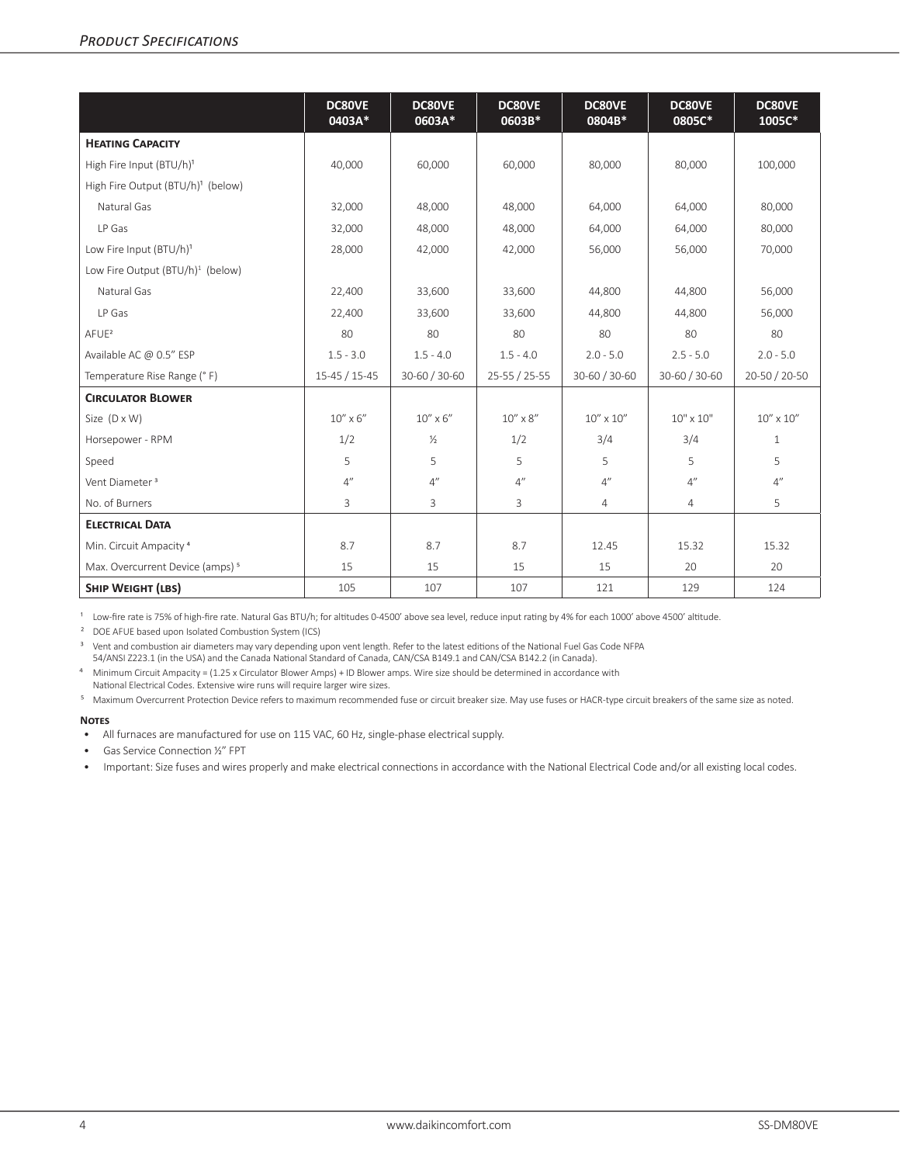|                                               | <b>DC80VE</b><br>0403A* | DC80VE<br>0603A* | <b>DC80VE</b><br>0603B* | <b>DC80VE</b><br>0804B* | DC80VE<br>0805C* | <b>DC80VE</b><br>1005C* |
|-----------------------------------------------|-------------------------|------------------|-------------------------|-------------------------|------------------|-------------------------|
| <b>HEATING CAPACITY</b>                       |                         |                  |                         |                         |                  |                         |
| High Fire Input (BTU/h) <sup>1</sup>          | 40,000                  | 60,000           | 60,000                  | 80,000                  | 80,000           | 100,000                 |
| High Fire Output (BTU/h) <sup>1</sup> (below) |                         |                  |                         |                         |                  |                         |
| Natural Gas                                   | 32,000                  | 48,000           | 48,000                  | 64,000                  | 64,000           | 80,000                  |
| LP Gas                                        | 32,000                  | 48,000           | 48,000                  | 64,000                  | 64,000           | 80,000                  |
| Low Fire Input (BTU/h) <sup>1</sup>           | 28,000                  | 42,000           | 42,000                  | 56,000                  | 56,000           | 70,000                  |
| Low Fire Output (BTU/h) <sup>1</sup> (below)  |                         |                  |                         |                         |                  |                         |
| Natural Gas                                   | 22,400                  | 33,600           | 33,600                  | 44,800                  | 44,800           | 56,000                  |
| LP Gas                                        | 22,400                  | 33,600           | 33,600                  | 44,800                  | 44.800           | 56,000                  |
| AFUE <sup>2</sup>                             | 80                      | 80               | 80                      | 80                      | 80               | 80                      |
| Available AC @ 0.5" ESP                       | $1.5 - 3.0$             | $1.5 - 4.0$      | $1.5 - 4.0$             | $2.0 - 5.0$             | $2.5 - 5.0$      | $2.0 - 5.0$             |
| Temperature Rise Range (° F)                  | $15-45/15-45$           | 30-60 / 30-60    | 25-55 / 25-55           | 30-60 / 30-60           | 30-60 / 30-60    | 20-50 / 20-50           |
| <b>CIRCULATOR BLOWER</b>                      |                         |                  |                         |                         |                  |                         |
| Size (D x W)                                  | $10''$ x $6''$          | $10''$ x $6''$   | $10''$ x $8''$          | $10'' \times 10''$      | $10" \times 10"$ | $10'' \times 10''$      |
| Horsepower - RPM                              | 1/2                     | $\frac{1}{2}$    | 1/2                     | 3/4                     | 3/4              | $\mathbf{1}$            |
| Speed                                         | 5                       | 5                | 5                       | 5                       | 5                | 5                       |
| Vent Diameter <sup>3</sup>                    | 4''                     | 4''              | 4''                     | 4''                     | 4''              | 4''                     |
| No. of Burners                                | 3                       | 3                | 3                       | $\overline{4}$          | 4                | 5                       |
| <b>ELECTRICAL DATA</b>                        |                         |                  |                         |                         |                  |                         |
| Min. Circuit Ampacity <sup>4</sup>            | 8.7                     | 8.7              | 8.7                     | 12.45                   | 15.32            | 15.32                   |
| Max. Overcurrent Device (amps) <sup>5</sup>   | 15                      | 15               | 15                      | 15                      | 20               | 20                      |
| <b>SHIP WEIGHT (LBS)</b>                      | 105                     | 107              | 107                     | 121                     | 129              | 124                     |

<sup>1</sup> Low-fire rate is 75% of high-fire rate. Natural Gas BTU/h; for altitudes 0-4500' above sea level, reduce input rating by 4% for each 1000' above 4500' altitude.

² DOE AFUE based upon Isolated Combustion System (ICS)

<sup>3</sup> Vent and combustion air diameters may vary depending upon vent length. Refer to the latest editions of the National Fuel Gas Code NFPA

54/ANSI Z223.1 (in the USA) and the Canada National Standard of Canada, CAN/CSA B149.1 and CAN/CSA B142.2 (in Canada).

⁴ Minimum Circuit Ampacity = (1.25 x Circulator Blower Amps) + ID Blower amps. Wire size should be determined in accordance with

National Electrical Codes. Extensive wire runs will require larger wire sizes.

⁵ Maximum Overcurrent Protection Device refers to maximum recommended fuse or circuit breaker size. May use fuses or HACR-type circuit breakers of the same size as noted.

#### **Notes**

• All furnaces are manufactured for use on 115 VAC, 60 Hz, single-phase electrical supply.

• Gas Service Connection ½" FPT

• Important: Size fuses and wires properly and make electrical connections in accordance with the National Electrical Code and/or all existing local codes.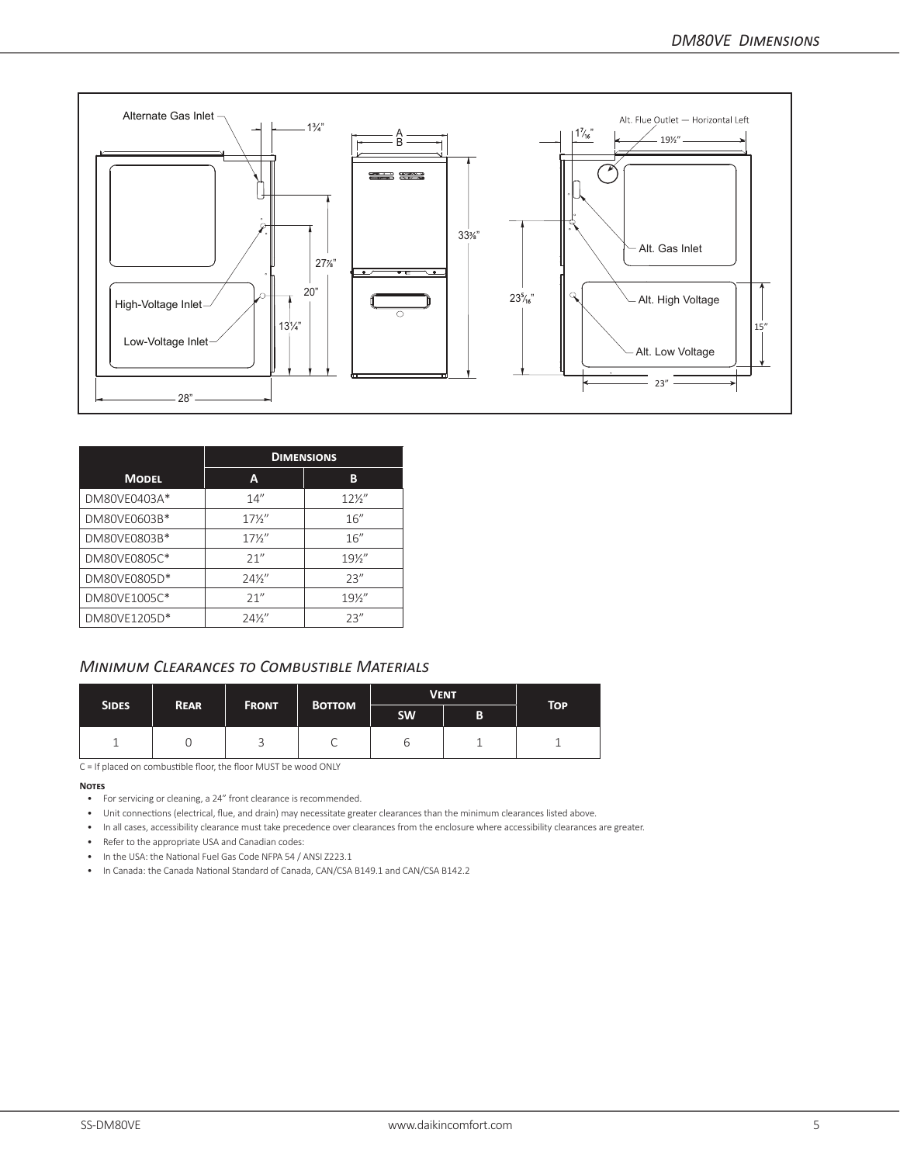

|              |                 | <b>DIMENSIONS</b> |
|--------------|-----------------|-------------------|
| <b>MODEL</b> | A               | В                 |
| DM80VE0403A* | 14''            | $12\frac{1}{2}$   |
| DM80VE0603B* | $17\frac{1}{2}$ | 16''              |
| DM80VE0803B* | $17\frac{1}{2}$ | 16''              |
| DM80VE0805C* | 21''            | $19\frac{1}{2}$   |
| DM80VE0805D* | $24\frac{1}{2}$ | 23''              |
| DM80VE1005C* | 21''            | $19\frac{1}{2}$   |
| DM80VE1205D* | $24\frac{1}{2}$ | 23''              |

# *Minimum Clearances to Combustible Materials*

| SIDES. | <b>REAR</b> |   | <b>VENT</b><br><b>BOTTOM</b><br><b>FRONT</b> |     |   | <b>TOP</b> |
|--------|-------------|---|----------------------------------------------|-----|---|------------|
|        |             |   |                                              | SW. | в |            |
|        |             | ر | ◡                                            | ◡   |   |            |

C = If placed on combustible floor, the floor MUST be wood ONLY

#### **Notes**

- For servicing or cleaning, a 24" front clearance is recommended.
- Unit connections (electrical, flue, and drain) may necessitate greater clearances than the minimum clearances listed above.
- In all cases, accessibility clearance must take precedence over clearances from the enclosure where accessibility clearances are greater.
- Refer to the appropriate USA and Canadian codes:
- In the USA: the National Fuel Gas Code NFPA 54 / ANSI Z223.1
- In Canada: the Canada National Standard of Canada, CAN/CSA B149.1 and CAN/CSA B142.2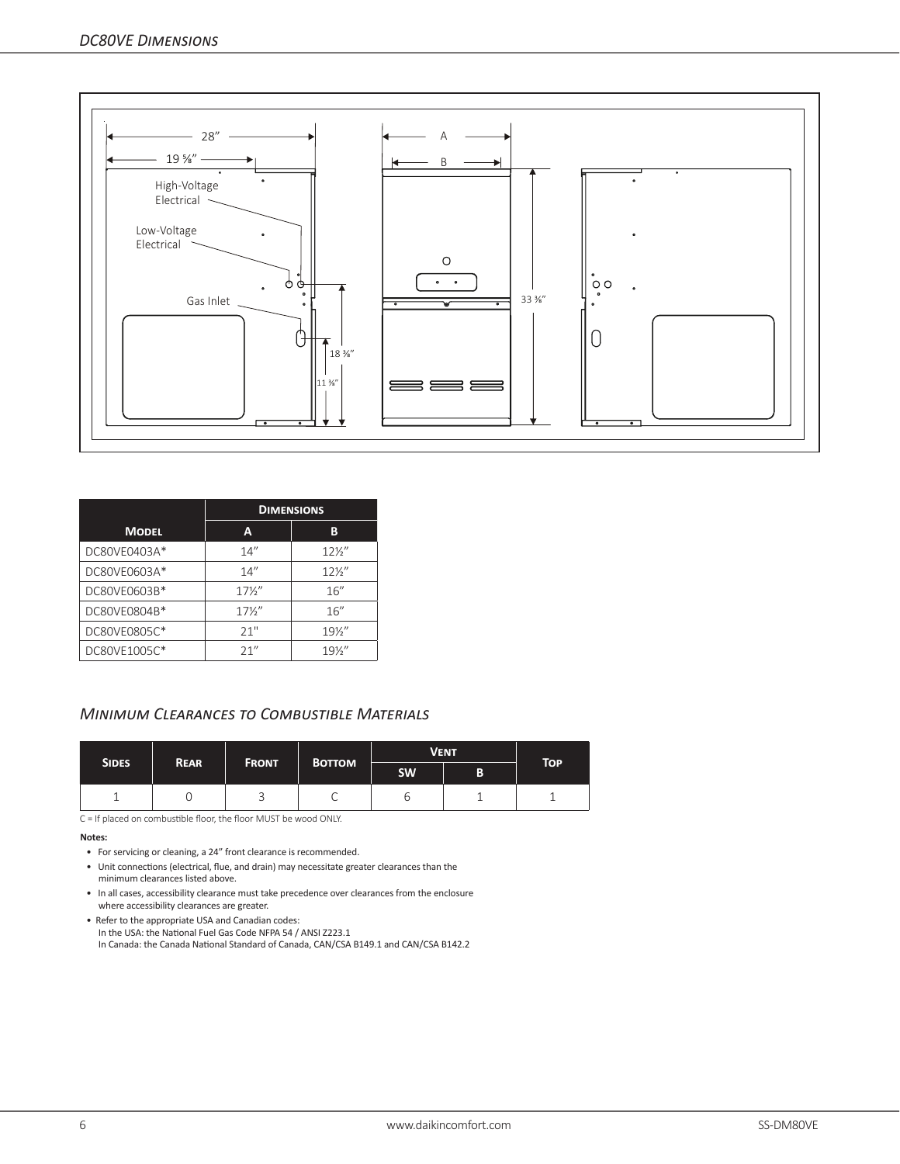

|              |                 | <b>DIMENSIONS</b> |
|--------------|-----------------|-------------------|
| <b>MODEL</b> | A               | в                 |
| DC80VE0403A* | 14''            | $12\frac{1}{2}$   |
| DC80VE0603A* | 14''            | $12\frac{1}{2}$   |
| DC80VE0603B* | $17\frac{1}{2}$ | 16''              |
| DC80VE0804B* | $17\frac{1}{2}$ | 16''              |
| DC80VE0805C* | 21"             | $19\frac{1}{2}$   |
| DC80VE1005C* | 21''            | $19\frac{1}{2}$   |

# *Minimum Clearances to Combustible Materials*

| <b>SIDES</b> | <b>REAR</b> | <b>FRONT</b> | <b>BOTTOM</b> | <b>VENT</b> | <b>TOP</b> |  |
|--------------|-------------|--------------|---------------|-------------|------------|--|
|              |             |              |               | <b>SW</b>   | B          |  |
|              |             |              | ◡             | O           |            |  |

C = If placed on combustible floor, the floor MUST be wood ONLY.

#### **Notes:**

- For servicing or cleaning, a 24" front clearance is recommended.
- Unit connections (electrical, flue, and drain) may necessitate greater clearances than the minimum clearances listed above.
- In all cases, accessibility clearance must take precedence over clearances from the enclosure where accessibility clearances are greater.
- Refer to the appropriate USA and Canadian codes: In the USA: the National Fuel Gas Code NFPA 54 / ANSI Z223.1 In Canada: the Canada National Standard of Canada, CAN/CSA B149.1 and CAN/CSA B142.2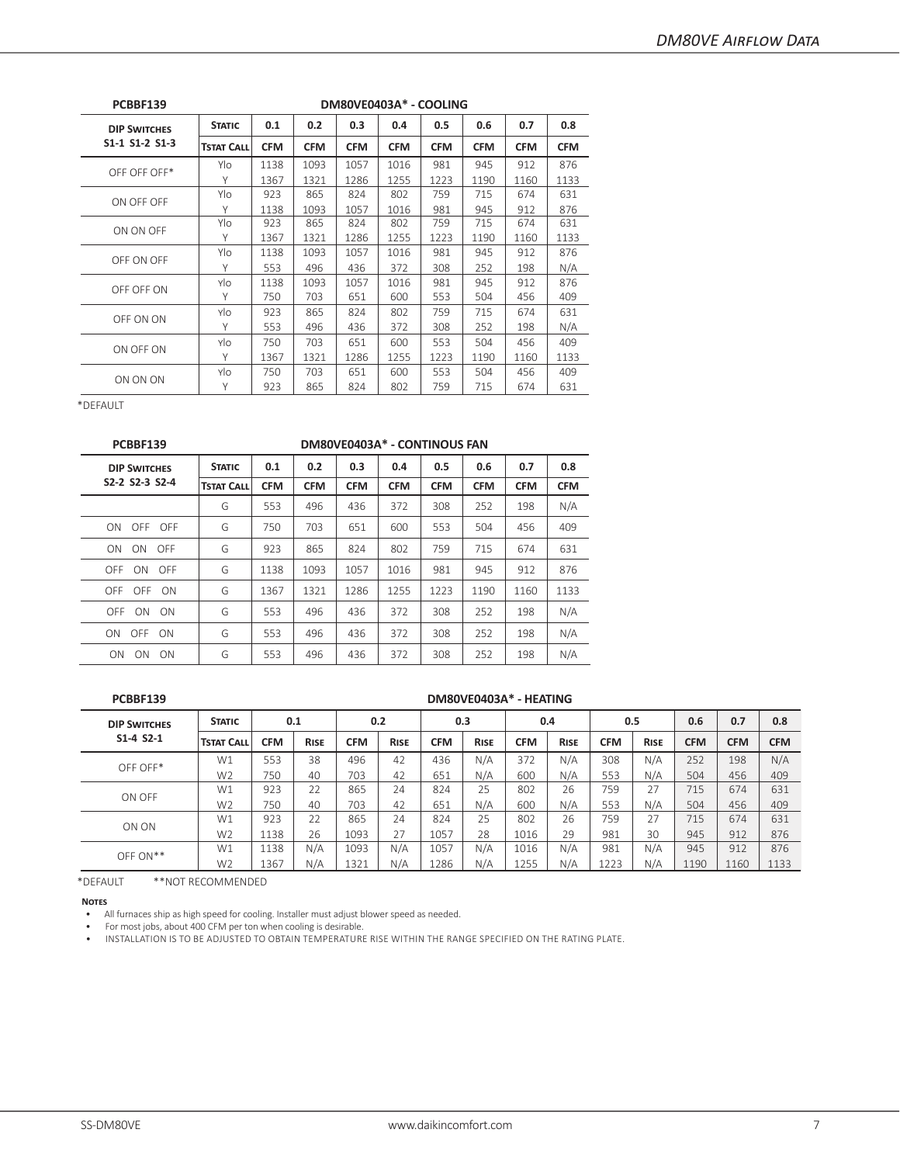| PCBBF139            |                   |            |            | DM80VE0403A* - COOLING |            |            |            |            |            |
|---------------------|-------------------|------------|------------|------------------------|------------|------------|------------|------------|------------|
| <b>DIP SWITCHES</b> | <b>STATIC</b>     | 0.1        | 0.2        | 0.3                    | 0.4        | 0.5        | 0.6        | 0.7        | 0.8        |
| S1-1 S1-2 S1-3      | <b>TSTAT CALL</b> | <b>CFM</b> | <b>CFM</b> | <b>CFM</b>             | <b>CFM</b> | <b>CFM</b> | <b>CFM</b> | <b>CFM</b> | <b>CFM</b> |
| OFF OFF OFF*        | Ylo               | 1138       | 1093       | 1057                   | 1016       | 981        | 945        | 912        | 876        |
|                     | Υ                 | 1367       | 1321       | 1286                   | 1255       | 1223       | 1190       | 1160       | 1133       |
|                     | Ylo               | 923        | 865        | 824                    | 802        | 759        | 715        | 674        | 631        |
| ON OFF OFF          | Υ                 | 1138       | 1093       | 1057                   | 1016       | 981        | 945        | 912        | 876        |
| ON ON OFF           | Ylo               | 923        | 865        | 824                    | 802        | 759        | 715        | 674        | 631        |
|                     | Υ                 | 1367       | 1321       | 1286                   | 1255       | 1223       | 1190       | 1160       | 1133       |
| OFF ON OFF          | Ylo               | 1138       | 1093       | 1057                   | 1016       | 981        | 945        | 912        | 876        |
|                     | Υ                 | 553        | 496        | 436                    | 372        | 308        | 252        | 198        | N/A        |
|                     | Ylo               | 1138       | 1093       | 1057                   | 1016       | 981        | 945        | 912        | 876        |
| OFF OFF ON          | Υ                 | 750        | 703        | 651                    | 600        | 553        | 504        | 456        | 409        |
|                     | Ylo               | 923        | 865        | 824                    | 802        | 759        | 715        | 674        | 631        |
| OFF ON ON           | Υ                 | 553        | 496        | 436                    | 372        | 308        | 252        | 198        | N/A        |
| ON OFF ON           | Ylo               | 750        | 703        | 651                    | 600        | 553        | 504        | 456        | 409        |
|                     | Υ                 | 1367       | 1321       | 1286                   | 1255       | 1223       | 1190       | 1160       | 1133       |
|                     | Ylo               | 750        | 703        | 651                    | 600        | 553        | 504        | 456        | 409        |
| ON ON ON            | Υ                 | 923        | 865        | 824                    | 802        | 759        | 715        | 674        | 631        |

| <b>STATIC</b>     | 0.1        | 0.2        | 0.3        | 0.4        | 0.5        | 0.6        | 0.7                          | 0.8        |
|-------------------|------------|------------|------------|------------|------------|------------|------------------------------|------------|
| <b>TSTAT CALL</b> | <b>CFM</b> | <b>CFM</b> | <b>CFM</b> | <b>CFM</b> | <b>CFM</b> | <b>CFM</b> | <b>CFM</b>                   | <b>CFM</b> |
| G                 | 553        | 496        | 436        | 372        | 308        | 252        | 198                          | N/A        |
| G                 | 750        | 703        | 651        | 600        | 553        | 504        | 456                          | 409        |
| G                 | 923        | 865        | 824        | 802        | 759        | 715        | 674                          | 631        |
| G                 | 1138       | 1093       | 1057       | 1016       | 981        | 945        | 912                          | 876        |
| G                 | 1367       | 1321       | 1286       | 1255       | 1223       | 1190       | 1160                         | 1133       |
| G                 | 553        | 496        | 436        | 372        | 308        | 252        | 198                          | N/A        |
| G                 | 553        | 496        | 436        | 372        | 308        | 252        | 198                          | N/A        |
| G                 | 553        | 496        | 436        | 372        | 308        | 252        | 198                          | N/A        |
|                   |            |            |            |            |            |            | DM80VE0403A* - CONTINOUS FAN |            |

## **PCBBF139 DM80VE0403A\* - HEATING**

| <b>DIP SWITCHES</b> | <b>STATIC</b>     | 0.1        |             |            | 0.2         | 0.3        |             |            | 0.4         | 0.5        |             | 0.6        | 0.7        | 0.8        |
|---------------------|-------------------|------------|-------------|------------|-------------|------------|-------------|------------|-------------|------------|-------------|------------|------------|------------|
| $S1 - 4 S2 - 1$     | <b>TSTAT CALL</b> | <b>CFM</b> | <b>RISE</b> | <b>CFM</b> | <b>RISE</b> | <b>CFM</b> | <b>RISE</b> | <b>CFM</b> | <b>RISE</b> | <b>CFM</b> | <b>RISE</b> | <b>CFM</b> | <b>CFM</b> | <b>CFM</b> |
| OFF OFF*            | W1                | 553        | 38          | 496        | 42          | 436        | N/A         | 372        | N/A         | 308        | N/A         | 252        | 198        | N/A        |
|                     | W <sub>2</sub>    | 750        | 40          | 703        | 42          | 651        | N/A         | 600        | N/A         | 553        | N/A         | 504        | 456        | 409        |
| ON OFF              | W1                | 923        | 22          | 865        | 24          | 824        | 25          | 802        | 26          | 759        | 27          | 715        | 674        | 631        |
|                     | W <sub>2</sub>    | 750        | 40          | 703        | 42          | 651        | N/A         | 600        | N/A         | 553        | N/A         | 504        | 456        | 409        |
| ON ON               | W1                | 923        | 22          | 865        | 24          | 824        | 25          | 802        | 26          | 759        | 27          | 715        | 674        | 631        |
|                     | W <sub>2</sub>    | 1138       | 26          | 1093       | 27          | 1057       | 28          | 1016       | 29          | 981        | 30          | 945        | 912        | 876        |
| $OFF ON**$          | W1                | 1138       | N/A         | 1093       | N/A         | 1057       | N/A         | 1016       | N/A         | 981        | N/A         | 945        | 912        | 876        |
|                     | W <sub>2</sub>    | 1367       | N/A         | 1321       | N/A         | 1286       | N/A         | 1255       | N/A         | 1223       | N/A         | 1190       | 1160       | 1133       |

\*DEFAULT \*\*NOT RECOMMENDED

**Notes**

• All furnaces ship as high speed for cooling. Installer must adjust blower speed as needed.

• For most jobs, about 400 CFM per ton when cooling is desirable.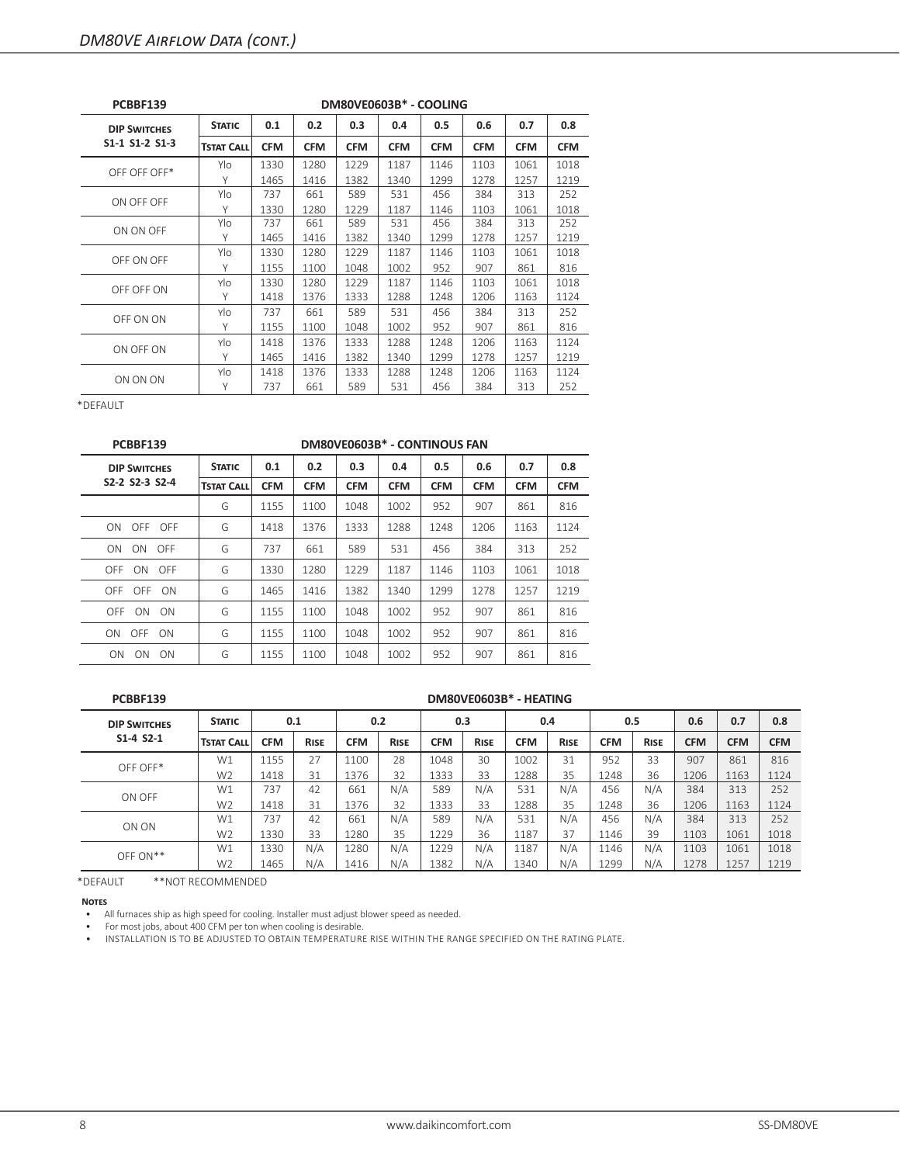| PCBBF139            |                   |            |            |            | DM80VE0603B* - COOLING |            |            |            |            |
|---------------------|-------------------|------------|------------|------------|------------------------|------------|------------|------------|------------|
| <b>DIP SWITCHES</b> | <b>STATIC</b>     | 0.1        | 0.2        | 0.3        | 0.4                    | 0.5        | 0.6        | 0.7        | 0.8        |
| S1-1 S1-2 S1-3      | <b>TSTAT CALL</b> | <b>CFM</b> | <b>CFM</b> | <b>CFM</b> | <b>CFM</b>             | <b>CFM</b> | <b>CFM</b> | <b>CFM</b> | <b>CFM</b> |
| OFF OFF OFF*        | Ylo               | 1330       | 1280       | 1229       | 1187                   | 1146       | 1103       | 1061       | 1018       |
|                     | Υ                 | 1465       | 1416       | 1382       | 1340                   | 1299       | 1278       | 1257       | 1219       |
| ON OFF OFF          | Ylo               | 737        | 661        | 589        | 531                    | 456        | 384        | 313        | 252        |
|                     | Υ                 | 1330       | 1280       | 1229       | 1187                   | 1146       | 1103       | 1061       | 1018       |
| ON ON OFF           | Ylo               | 737        | 661        | 589        | 531                    | 456        | 384        | 313        | 252        |
|                     | Υ                 | 1465       | 1416       | 1382       | 1340                   | 1299       | 1278       | 1257       | 1219       |
| OFF ON OFF          | Ylo               | 1330       | 1280       | 1229       | 1187                   | 1146       | 1103       | 1061       | 1018       |
|                     | Υ                 | 1155       | 1100       | 1048       | 1002                   | 952        | 907        | 861        | 816        |
| OFF OFF ON          | Ylo               | 1330       | 1280       | 1229       | 1187                   | 1146       | 1103       | 1061       | 1018       |
|                     | Y                 | 1418       | 1376       | 1333       | 1288                   | 1248       | 1206       | 1163       | 1124       |
| OFF ON ON           | Ylo               | 737        | 661        | 589        | 531                    | 456        | 384        | 313        | 252        |
|                     | Υ                 | 1155       | 1100       | 1048       | 1002                   | 952        | 907        | 861        | 816        |
| ON OFF ON           | Ylo               | 1418       | 1376       | 1333       | 1288                   | 1248       | 1206       | 1163       | 1124       |
|                     | Υ                 | 1465       | 1416       | 1382       | 1340                   | 1299       | 1278       | 1257       | 1219       |
|                     | Ylo               | 1418       | 1376       | 1333       | 1288                   | 1248       | 1206       | 1163       | 1124       |
| ON ON ON            | Υ                 | 737        | 661        | 589        | 531                    | 456        | 384        | 313        | 252        |

| PCBBF139                                              |                   |            |            | DM80VE0603B* - CONTINOUS FAN |            |            |            |            |            |
|-------------------------------------------------------|-------------------|------------|------------|------------------------------|------------|------------|------------|------------|------------|
| <b>DIP SWITCHES</b>                                   | <b>STATIC</b>     | 0.1        | 0.2        | 0.3                          | 0.4        | 0.5        | 0.6        | 0.7        | 0.8        |
| S <sub>2</sub> -2 S <sub>2</sub> -3 S <sub>2</sub> -4 | <b>TSTAT CALL</b> | <b>CFM</b> | <b>CFM</b> | <b>CFM</b>                   | <b>CFM</b> | <b>CFM</b> | <b>CFM</b> | <b>CFM</b> | <b>CFM</b> |
|                                                       | G                 | 1155       | 1100       | 1048                         | 1002       | 952        | 907        | 861        | 816        |
| ON OFF OFF                                            | G                 | 1418       | 1376       | 1333                         | 1288       | 1248       | 1206       | 1163       | 1124       |
| ON<br>ON<br>OFF                                       | G                 | 737        | 661        | 589                          | 531        | 456        | 384        | 313        | 252        |
| OFF ON OFF                                            | G                 | 1330       | 1280       | 1229                         | 1187       | 1146       | 1103       | 1061       | 1018       |
| OFF OFF ON                                            | G                 | 1465       | 1416       | 1382                         | 1340       | 1299       | 1278       | 1257       | 1219       |
| OFF ON<br>- ON                                        | G                 | 1155       | 1100       | 1048                         | 1002       | 952        | 907        | 861        | 816        |
| ON OFF ON                                             | G                 | 1155       | 1100       | 1048                         | 1002       | 952        | 907        | 861        | 816        |
| ON<br><b>ON</b><br>ON                                 | G                 | 1155       | 1100       | 1048                         | 1002       | 952        | 907        | 861        | 816        |

#### **PCBBF139 DM80VE0603B\* - HEATING**

| <b>DIP SWITCHES</b> | <b>STATIC</b>     | 0.1        |             |            | 0.2         | 0.3        |             |            | 0.4         | 0.5        |             | 0.6        | 0.7        | 0.8        |
|---------------------|-------------------|------------|-------------|------------|-------------|------------|-------------|------------|-------------|------------|-------------|------------|------------|------------|
| $S1 - 4 S2 - 1$     | <b>TSTAT CALL</b> | <b>CFM</b> | <b>RISE</b> | <b>CFM</b> | <b>RISE</b> | <b>CFM</b> | <b>RISE</b> | <b>CFM</b> | <b>RISE</b> | <b>CFM</b> | <b>RISE</b> | <b>CFM</b> | <b>CFM</b> | <b>CFM</b> |
| OFF OFF*            | W1                | 1155       | 27          | 1100       | 28          | 1048       | 30          | 1002       | 31          | 952        | 33          | 907        | 861        | 816        |
|                     | W <sub>2</sub>    | 1418       | 31          | 1376       | 32          | 1333       | 33          | 1288       | 35          | 1248       | 36          | 1206       | 1163       | 1124       |
| ON OFF              | W1                | 737        | 42          | 661        | N/A         | 589        | N/A         | 531        | N/A         | 456        | N/A         | 384        | 313        | 252        |
|                     | W <sub>2</sub>    | 1418       | 31          | 1376       | 32          | 1333       | 33          | 1288       | 35          | 1248       | 36          | 1206       | 1163       | 1124       |
| ON ON               | W1                | 737        | 42          | 661        | N/A         | 589        | N/A         | 531        | N/A         | 456        | N/A         | 384        | 313        | 252        |
|                     | W <sub>2</sub>    | 1330       | 33          | 1280       | 35          | 1229       | 36          | 1187       | 37          | 1146       | 39          | 1103       | 1061       | 1018       |
| $OFF ON**$          | W1                | 1330       | N/A         | 1280       | N/A         | 1229       | N/A         | 1187       | N/A         | 1146       | N/A         | 1103       | 1061       | 1018       |
|                     | W <sub>2</sub>    | 1465       | N/A         | 1416       | N/A         | 1382       | N/A         | 1340       | N/A         | 1299       | N/A         | 1278       | 1257       | 1219       |

\*DEFAULT \*\*NOT RECOMMENDED

**Notes**

• All furnaces ship as high speed for cooling. Installer must adjust blower speed as needed.

• For most jobs, about 400 CFM per ton when cooling is desirable.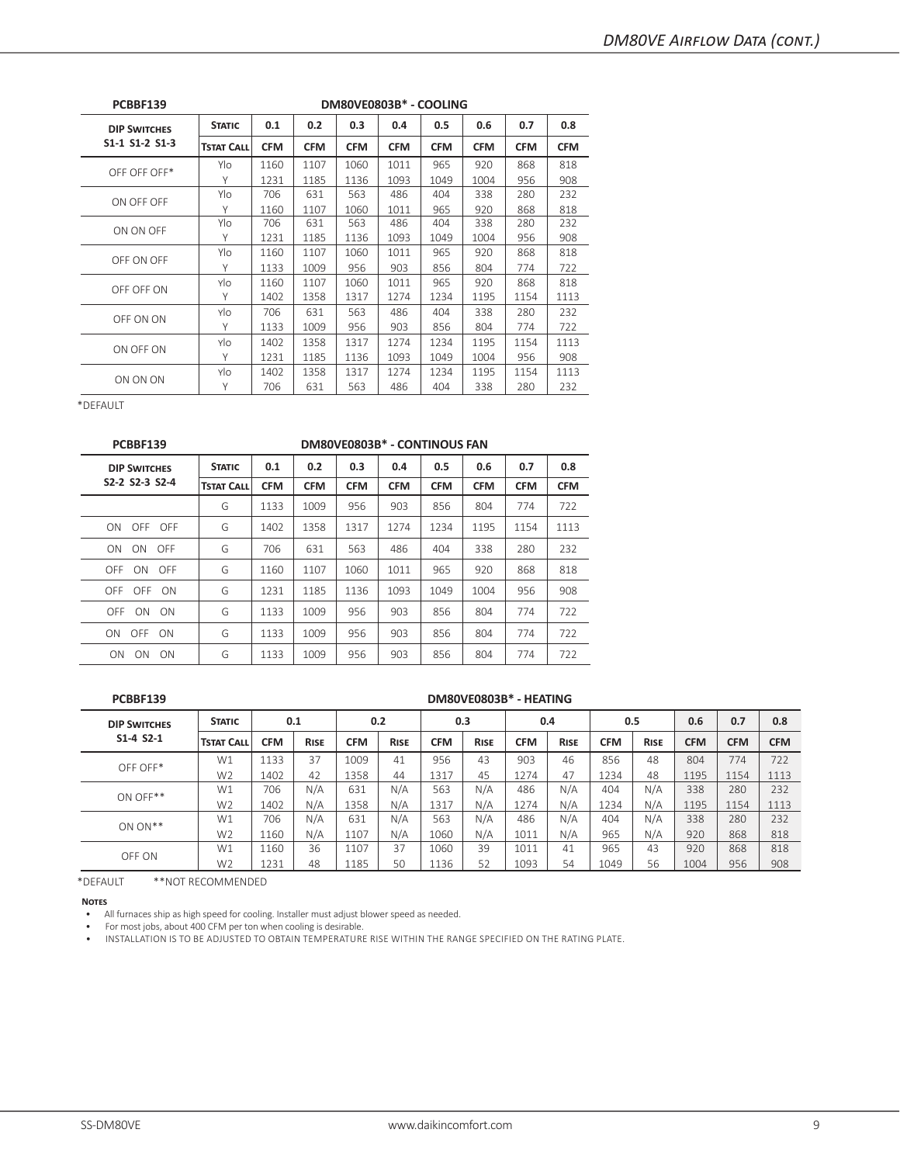| PCBBF139            |                   |            |            | DM80VE0803B* - COOLING |            |            |            |            |            |
|---------------------|-------------------|------------|------------|------------------------|------------|------------|------------|------------|------------|
| <b>DIP SWITCHES</b> | <b>STATIC</b>     | 0.1        | 0.2        | 0.3                    | 0.4        | 0.5        | 0.6        | 0.7        | 0.8        |
| S1-1 S1-2 S1-3      | <b>TSTAT CALL</b> | <b>CFM</b> | <b>CFM</b> | <b>CFM</b>             | <b>CFM</b> | <b>CFM</b> | <b>CFM</b> | <b>CFM</b> | <b>CFM</b> |
| OFF OFF OFF*        | Ylo               | 1160       | 1107       | 1060                   | 1011       | 965        | 920        | 868        | 818        |
|                     | Υ                 | 1231       | 1185       | 1136                   | 1093       | 1049       | 1004       | 956        | 908        |
|                     | Ylo               | 706        | 631        | 563                    | 486        | 404        | 338        | 280        | 232        |
| ON OFF OFF          | Υ                 | 1160       | 1107       | 1060                   | 1011       | 965        | 920        | 868        | 818        |
| ON ON OFF           | Ylo               | 706        | 631        | 563                    | 486        | 404        | 338        | 280        | 232        |
|                     | Υ                 | 1231       | 1185       | 1136                   | 1093       | 1049       | 1004       | 956        | 908        |
| OFF ON OFF          | Ylo               | 1160       | 1107       | 1060                   | 1011       | 965        | 920        | 868        | 818        |
|                     | Υ                 | 1133       | 1009       | 956                    | 903        | 856        | 804        | 774        | 722        |
| OFF OFF ON          | Ylo               | 1160       | 1107       | 1060                   | 1011       | 965        | 920        | 868        | 818        |
|                     | Υ                 | 1402       | 1358       | 1317                   | 1274       | 1234       | 1195       | 1154       | 1113       |
|                     | Ylo               | 706        | 631        | 563                    | 486        | 404        | 338        | 280        | 232        |
| OFF ON ON           | Υ                 | 1133       | 1009       | 956                    | 903        | 856        | 804        | 774        | 722        |
| ON OFF ON           | Ylo               | 1402       | 1358       | 1317                   | 1274       | 1234       | 1195       | 1154       | 1113       |
|                     | Υ                 | 1231       | 1185       | 1136                   | 1093       | 1049       | 1004       | 956        | 908        |
|                     | Ylo               | 1402       | 1358       | 1317                   | 1274       | 1234       | 1195       | 1154       | 1113       |
| ON ON ON            | Υ                 | 706        | 631        | 563                    | 486        | 404        | 338        | 280        | 232        |

| PCBBF139               |                   |            |            | DM80VE0803B* - CONTINOUS FAN |            |            |            |            |            |
|------------------------|-------------------|------------|------------|------------------------------|------------|------------|------------|------------|------------|
| <b>DIP SWITCHES</b>    | <b>STATIC</b>     | 0.1        | 0.2        | 0.3                          | 0.4        | 0.5        | 0.6        | 0.7        | 0.8        |
| S2-2 S2-3 S2-4         | <b>TSTAT CALL</b> | <b>CFM</b> | <b>CFM</b> | <b>CFM</b>                   | <b>CFM</b> | <b>CFM</b> | <b>CFM</b> | <b>CFM</b> | <b>CFM</b> |
|                        | G                 | 1133       | 1009       | 956                          | 903        | 856        | 804        | 774        | 722        |
| OFF OFF<br>ON.         | G                 | 1402       | 1358       | 1317                         | 1274       | 1234       | 1195       | 1154       | 1113       |
| ON ON<br>OFF           | G                 | 706        | 631        | 563                          | 486        | 404        | 338        | 280        | 232        |
| OFF ON OFF             | G                 | 1160       | 1107       | 1060                         | 1011       | 965        | 920        | 868        | 818        |
| OFF OFF ON             | G                 | 1231       | 1185       | 1136                         | 1093       | 1049       | 1004       | 956        | 908        |
| OFF ON ON              | G                 | 1133       | 1009       | 956                          | 903        | 856        | 804        | 774        | 722        |
| ON OFF ON              | G                 | 1133       | 1009       | 956                          | 903        | 856        | 804        | 774        | 722        |
| ON<br>ON.<br><b>ON</b> | G                 | 1133       | 1009       | 956                          | 903        | 856        | 804        | 774        | 722        |

#### **PCBBF139 DM80VE0803B\* - HEATING**

| <b>DIP SWITCHES</b> | <b>STATIC</b>     | 0.1        |             | 0.2        |             | 0.3        |             | 0.4        |             | 0.5        |             | 0.6        | 0.7        | 0.8        |
|---------------------|-------------------|------------|-------------|------------|-------------|------------|-------------|------------|-------------|------------|-------------|------------|------------|------------|
| $S1 - 4 S2 - 1$     | <b>TSTAT CALL</b> | <b>CFM</b> | <b>RISE</b> | <b>CFM</b> | <b>RISE</b> | <b>CFM</b> | <b>RISE</b> | <b>CFM</b> | <b>RISE</b> | <b>CFM</b> | <b>RISE</b> | <b>CFM</b> | <b>CFM</b> | <b>CFM</b> |
| OFF OFF*            | W1                | 1133       | 37          | 1009       | 41          | 956        | 43          | 903        | 46          | 856        | 48          | 804        | 774        | 722        |
|                     | W <sub>2</sub>    | 1402       | 42          | 1358       | 44          | 1317       | 45          | 1274       | 47          | 1234       | 48          | 1195       | 1154       | 1113       |
| ON OFF**            | W1                | 706        | N/A         | 631        | N/A         | 563        | N/A         | 486        | N/A         | 404        | N/A         | 338        | 280        | 232        |
|                     | W <sub>2</sub>    | 1402       | N/A         | 1358       | N/A         | 1317       | N/A         | 1274       | N/A         | 1234       | N/A         | 1195       | 1154       | 1113       |
| $ON ON**$           | W1                | 706        | N/A         | 631        | N/A         | 563        | N/A         | 486        | N/A         | 404        | N/A         | 338        | 280        | 232        |
|                     | W <sub>2</sub>    | 1160       | N/A         | 1107       | N/A         | 1060       | N/A         | 1011       | N/A         | 965        | N/A         | 920        | 868        | 818        |
| OFF ON              | W1                | 1160       | 36          | 1107       | 37          | 1060       | 39          | 1011       | 41          | 965        | 43          | 920        | 868        | 818        |
|                     | W <sub>2</sub>    | 1231       | 48          | 1185       | 50          | 1136       | 52          | 1093       | 54          | 1049       | 56          | 1004       | 956        | 908        |

\*DEFAULT \*\*NOT RECOMMENDED

**Notes**

• All furnaces ship as high speed for cooling. Installer must adjust blower speed as needed.

• For most jobs, about 400 CFM per ton when cooling is desirable.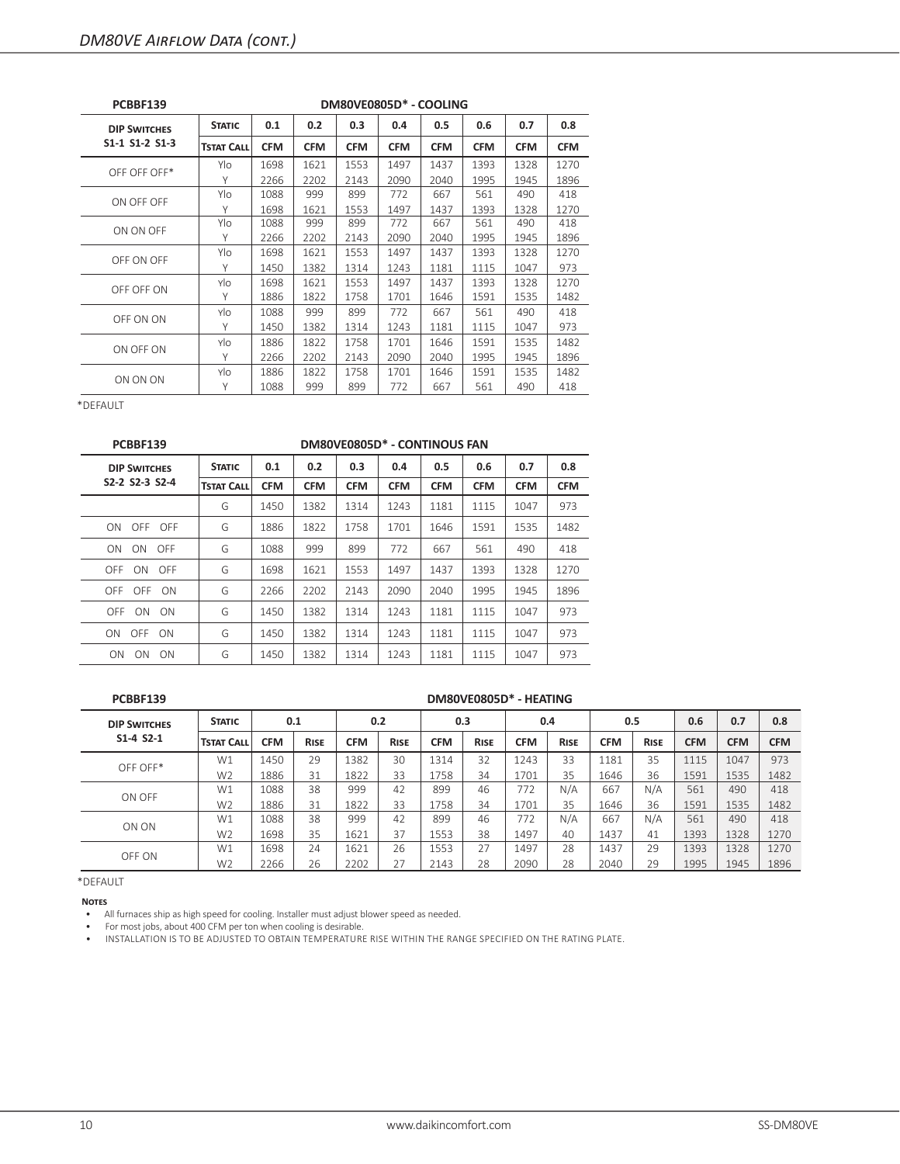| PCBBF139            |                   |            |            |            | DM80VE0805D* - COOLING |            |            |            |            |
|---------------------|-------------------|------------|------------|------------|------------------------|------------|------------|------------|------------|
| <b>DIP SWITCHES</b> | <b>STATIC</b>     | 0.1        | 0.2        | 0.3        | 0.4                    | 0.5        | 0.6        | 0.7        | 0.8        |
| S1-1 S1-2 S1-3      | <b>TSTAT CALL</b> | <b>CFM</b> | <b>CFM</b> | <b>CFM</b> | <b>CFM</b>             | <b>CFM</b> | <b>CFM</b> | <b>CFM</b> | <b>CFM</b> |
| OFF OFF OFF*        | Ylo               | 1698       | 1621       | 1553       | 1497                   | 1437       | 1393       | 1328       | 1270       |
|                     | Υ                 | 2266       | 2202       | 2143       | 2090                   | 2040       | 1995       | 1945       | 1896       |
| ON OFF OFF          | Ylo               | 1088       | 999        | 899        | 772                    | 667        | 561        | 490        | 418        |
|                     | Υ                 | 1698       | 1621       | 1553       | 1497                   | 1437       | 1393       | 1328       | 1270       |
| ON ON OFF           | Ylo               | 1088       | 999        | 899        | 772                    | 667        | 561        | 490        | 418        |
|                     | Υ                 | 2266       | 2202       | 2143       | 2090                   | 2040       | 1995       | 1945       | 1896       |
| OFF ON OFF          | Ylo               | 1698       | 1621       | 1553       | 1497                   | 1437       | 1393       | 1328       | 1270       |
|                     | Υ                 | 1450       | 1382       | 1314       | 1243                   | 1181       | 1115       | 1047       | 973        |
| OFF OFF ON          | Ylo               | 1698       | 1621       | 1553       | 1497                   | 1437       | 1393       | 1328       | 1270       |
|                     | Υ                 | 1886       | 1822       | 1758       | 1701                   | 1646       | 1591       | 1535       | 1482       |
| OFF ON ON           | Ylo               | 1088       | 999        | 899        | 772                    | 667        | 561        | 490        | 418        |
|                     | Υ                 | 1450       | 1382       | 1314       | 1243                   | 1181       | 1115       | 1047       | 973        |
| ON OFF ON           | Ylo               | 1886       | 1822       | 1758       | 1701                   | 1646       | 1591       | 1535       | 1482       |
|                     | Υ                 | 2266       | 2202       | 2143       | 2090                   | 2040       | 1995       | 1945       | 1896       |
|                     | Ylo               | 1886       | 1822       | 1758       | 1701                   | 1646       | 1591       | 1535       | 1482       |
| ON ON ON            | Υ                 | 1088       | 999        | 899        | 772                    | 667        | 561        | 490        | 418        |

| PCBBF139                                              |                   |            |            | DM80VE0805D* - CONTINOUS FAN |            |            |            |            |            |
|-------------------------------------------------------|-------------------|------------|------------|------------------------------|------------|------------|------------|------------|------------|
| <b>DIP SWITCHES</b>                                   | <b>STATIC</b>     | 0.1        | 0.2        | 0.3                          | 0.4        | 0.5        | 0.6        | 0.7        | 0.8        |
| S <sub>2</sub> -2 S <sub>2</sub> -3 S <sub>2</sub> -4 | <b>TSTAT CALL</b> | <b>CFM</b> | <b>CFM</b> | <b>CFM</b>                   | <b>CFM</b> | <b>CFM</b> | <b>CFM</b> | <b>CFM</b> | <b>CFM</b> |
|                                                       | G                 | 1450       | 1382       | 1314                         | 1243       | 1181       | 1115       | 1047       | 973        |
| ON OFF OFF                                            | G                 | 1886       | 1822       | 1758                         | 1701       | 1646       | 1591       | 1535       | 1482       |
| ON<br>ON<br>OFF                                       | G                 | 1088       | 999        | 899                          | 772        | 667        | 561        | 490        | 418        |
| OFF ON OFF                                            | G                 | 1698       | 1621       | 1553                         | 1497       | 1437       | 1393       | 1328       | 1270       |
| OFF OFF ON                                            | G                 | 2266       | 2202       | 2143                         | 2090       | 2040       | 1995       | 1945       | 1896       |
| OFF<br>ON<br>- ON                                     | G                 | 1450       | 1382       | 1314                         | 1243       | 1181       | 1115       | 1047       | 973        |
| ON OFF ON                                             | G                 | 1450       | 1382       | 1314                         | 1243       | 1181       | 1115       | 1047       | 973        |
| <b>ON</b><br>ON<br>- ON                               | G                 | 1450       | 1382       | 1314                         | 1243       | 1181       | 1115       | 1047       | 973        |

#### **PCBBF139 DM80VE0805D\* - HEATING**

| <b>DIP SWITCHES</b> | <b>STATIC</b>     | 0.1        |             | 0.2  |             |            | 0.3         | 0.4        |             | 0.5        |             | 0.6        | 0.7        | 0.8        |
|---------------------|-------------------|------------|-------------|------|-------------|------------|-------------|------------|-------------|------------|-------------|------------|------------|------------|
| $S1 - 4 S2 - 1$     | <b>TSTAT CALL</b> | <b>CFM</b> | <b>RISE</b> | CFM  | <b>RISE</b> | <b>CFM</b> | <b>RISE</b> | <b>CFM</b> | <b>RISE</b> | <b>CFM</b> | <b>RISE</b> | <b>CFM</b> | <b>CFM</b> | <b>CFM</b> |
| OFF OFF*            | W1                | 1450       | 29          | 1382 | 30          | 1314       | 32          | 1243       | 33          | 1181       | 35          | 1115       | 1047       | 973        |
|                     | W <sub>2</sub>    | 1886       | 31          | 1822 | 33          | 1758       | 34          | 1701       | 35          | 1646       | 36          | 1591       | 1535       | 1482       |
| ON OFF              | W1                | 1088       | 38          | 999  | 42          | 899        | 46          | 772        | N/A         | 667        | N/A         | 561        | 490        | 418        |
|                     | W <sub>2</sub>    | 1886       | 31          | 1822 | 33          | 1758       | 34          | 1701       | 35          | 1646       | 36          | 1591       | 1535       | 1482       |
| ON ON               | W1                | 1088       | 38          | 999  | 42          | 899        | 46          | 772        | N/A         | 667        | N/A         | 561        | 490        | 418        |
|                     | W <sub>2</sub>    | 1698       | 35          | 1621 | 37          | 1553       | 38          | 1497       | 40          | 1437       | 41          | 1393       | 1328       | 1270       |
| OFF ON              | W1                | 1698       | 24          | 1621 | 26          | 1553       | 27          | 1497       | 28          | 1437       | 29          | 1393       | 1328       | 1270       |
|                     | W <sub>2</sub>    | 2266       | 26          | 2202 | 27          | 2143       | 28          | 2090       | 28          | 2040       | 29          | 1995       | 1945       | 1896       |

\*DEFAULT

**Notes**

• All furnaces ship as high speed for cooling. Installer must adjust blower speed as needed.

• For most jobs, about 400 CFM per ton when cooling is desirable.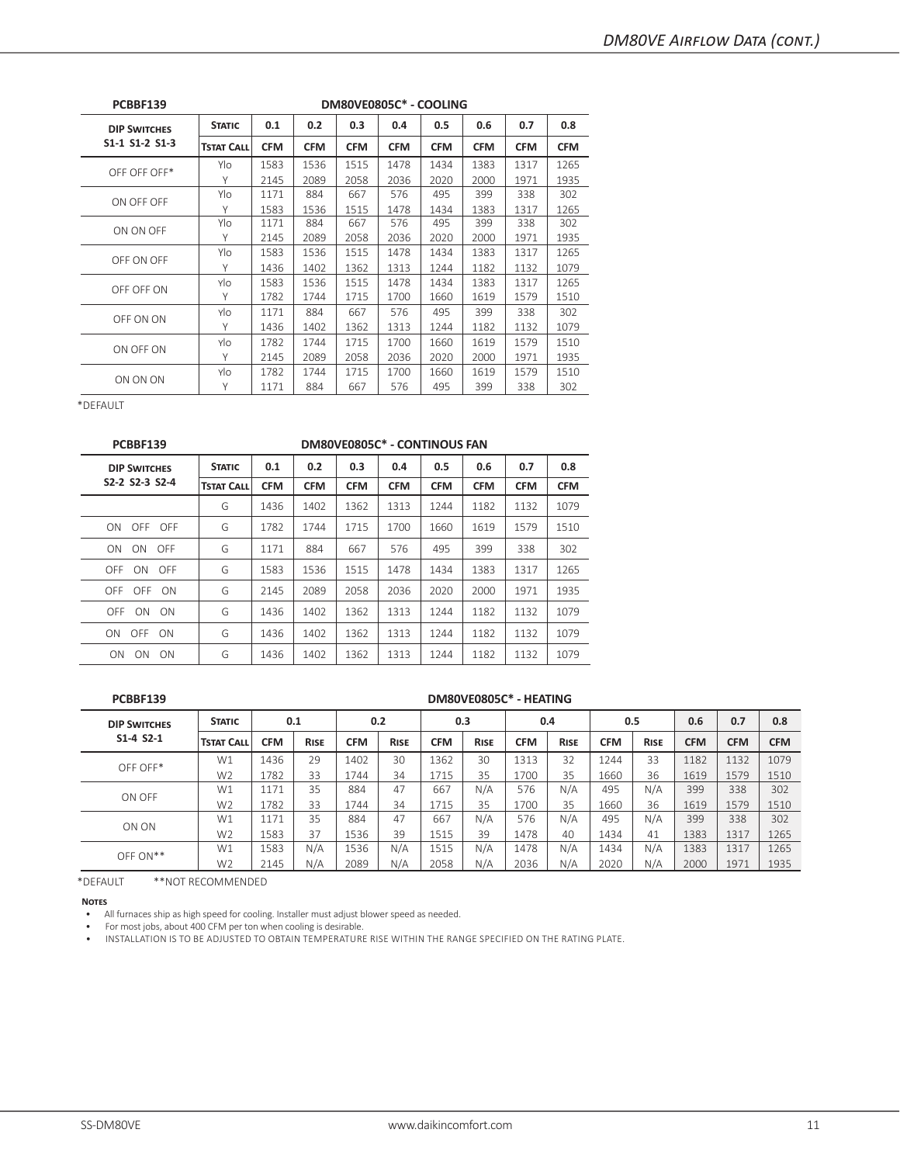| PCBBF139            |                   |            |            | DM80VE0805C* - COOLING |            |            |            |            |            |
|---------------------|-------------------|------------|------------|------------------------|------------|------------|------------|------------|------------|
| <b>DIP SWITCHES</b> | <b>STATIC</b>     | 0.1        | 0.2        | 0.3                    | 0.4        | 0.5        | 0.6        | 0.7        | 0.8        |
| S1-1 S1-2 S1-3      | <b>TSTAT CALL</b> | <b>CFM</b> | <b>CFM</b> | <b>CFM</b>             | <b>CFM</b> | <b>CFM</b> | <b>CFM</b> | <b>CFM</b> | <b>CFM</b> |
| OFF OFF OFF*        | Ylo               | 1583       | 1536       | 1515                   | 1478       | 1434       | 1383       | 1317       | 1265       |
|                     | Υ                 | 2145       | 2089       | 2058                   | 2036       | 2020       | 2000       | 1971       | 1935       |
|                     | Ylo               | 1171       | 884        | 667                    | 576        | 495        | 399        | 338        | 302        |
| ON OFF OFF          | Υ                 | 1583       | 1536       | 1515                   | 1478       | 1434       | 1383       | 1317       | 1265       |
|                     | Ylo               | 1171       | 884        | 667                    | 576        | 495        | 399        | 338        | 302        |
| ON ON OFF           | Υ                 | 2145       | 2089       | 2058                   | 2036       | 2020       | 2000       | 1971       | 1935       |
| OFF ON OFF          | Ylo               | 1583       | 1536       | 1515                   | 1478       | 1434       | 1383       | 1317       | 1265       |
|                     | Υ                 | 1436       | 1402       | 1362                   | 1313       | 1244       | 1182       | 1132       | 1079       |
| OFF OFF ON          | Ylo               | 1583       | 1536       | 1515                   | 1478       | 1434       | 1383       | 1317       | 1265       |
|                     | Υ                 | 1782       | 1744       | 1715                   | 1700       | 1660       | 1619       | 1579       | 1510       |
|                     | Ylo               | 1171       | 884        | 667                    | 576        | 495        | 399        | 338        | 302        |
| OFF ON ON           | Υ                 | 1436       | 1402       | 1362                   | 1313       | 1244       | 1182       | 1132       | 1079       |
| ON OFF ON           | Ylo               | 1782       | 1744       | 1715                   | 1700       | 1660       | 1619       | 1579       | 1510       |
|                     | Υ                 | 2145       | 2089       | 2058                   | 2036       | 2020       | 2000       | 1971       | 1935       |
|                     | Ylo               | 1782       | 1744       | 1715                   | 1700       | 1660       | 1619       | 1579       | 1510       |
| ON ON ON            | Υ                 | 1171       | 884        | 667                    | 576        | 495        | 399        | 338        | 302        |

| <b>STATIC</b>     | 0.1        | 0.2        | 0.3        | 0.4        | 0.5        | 0.6        | 0.7                          | 0.8        |
|-------------------|------------|------------|------------|------------|------------|------------|------------------------------|------------|
| <b>TSTAT CALL</b> | <b>CFM</b> | <b>CFM</b> | <b>CFM</b> | <b>CFM</b> | <b>CFM</b> | <b>CFM</b> | <b>CFM</b>                   | <b>CFM</b> |
| G                 | 1436       | 1402       | 1362       | 1313       | 1244       | 1182       | 1132                         | 1079       |
| G                 | 1782       | 1744       | 1715       | 1700       | 1660       | 1619       | 1579                         | 1510       |
| G                 | 1171       | 884        | 667        | 576        | 495        | 399        | 338                          | 302        |
| G                 | 1583       | 1536       | 1515       | 1478       | 1434       | 1383       | 1317                         | 1265       |
| G                 | 2145       | 2089       | 2058       | 2036       | 2020       | 2000       | 1971                         | 1935       |
| G                 | 1436       | 1402       | 1362       | 1313       | 1244       | 1182       | 1132                         | 1079       |
| G                 | 1436       | 1402       | 1362       | 1313       | 1244       | 1182       | 1132                         | 1079       |
| G                 | 1436       | 1402       | 1362       | 1313       | 1244       | 1182       | 1132                         | 1079       |
|                   |            |            |            |            |            |            | DM80VE0805C* - CONTINOUS FAN |            |

#### **PCBBF139 DM80VE0805C\* - HEATING**

| <b>DIP SWITCHES</b> | <b>STATIC</b>     | 0.1        |             | 0.2        |             |            | 0.3         |            | 0.4         | 0.5        |             | 0.6        | 0.7        | 0.8        |
|---------------------|-------------------|------------|-------------|------------|-------------|------------|-------------|------------|-------------|------------|-------------|------------|------------|------------|
| $S1 - 4 S2 - 1$     | <b>TSTAT CALL</b> | <b>CFM</b> | <b>RISE</b> | <b>CFM</b> | <b>RISE</b> | <b>CFM</b> | <b>RISE</b> | <b>CFM</b> | <b>RISE</b> | <b>CFM</b> | <b>RISE</b> | <b>CFM</b> | <b>CFM</b> | <b>CFM</b> |
| OFF OFF*            | W1                | 1436       | 29          | 1402       | 30          | 1362       | 30          | 1313       | 32          | 1244       | 33          | 1182       | 1132       | 1079       |
|                     | W <sub>2</sub>    | 1782       | 33          | 1744       | 34          | 1715       | 35          | 1700       | 35          | 1660       | 36          | 1619       | 1579       | 1510       |
| ON OFF              | W1                | 1171       | 35          | 884        | 47          | 667        | N/A         | 576        | N/A         | 495        | N/A         | 399        | 338        | 302        |
|                     | W <sub>2</sub>    | 1782       | 33          | 1744       | 34          | 1715       | 35          | 1700       | 35          | 1660       | 36          | 1619       | 1579       | 1510       |
| ON ON               | W1                | 1171       | 35          | 884        | 47          | 667        | N/A         | 576        | N/A         | 495        | N/A         | 399        | 338        | 302        |
|                     | W <sub>2</sub>    | 1583       | 37          | 1536       | 39          | 1515       | 39          | 1478       | 40          | 1434       | 41          | 1383       | 1317       | 1265       |
| $OFF ON**$          | W1                | 1583       | N/A         | 1536       | N/A         | 1515       | N/A         | 1478       | N/A         | 1434       | N/A         | 1383       | 1317       | 1265       |
|                     | W <sub>2</sub>    | 2145       | N/A         | 2089       | N/A         | 2058       | N/A         | 2036       | N/A         | 2020       | N/A         | 2000       | 1971       | 1935       |

\*DEFAULT \*\*NOT RECOMMENDED

**Notes**

• All furnaces ship as high speed for cooling. Installer must adjust blower speed as needed.

• For most jobs, about 400 CFM per ton when cooling is desirable.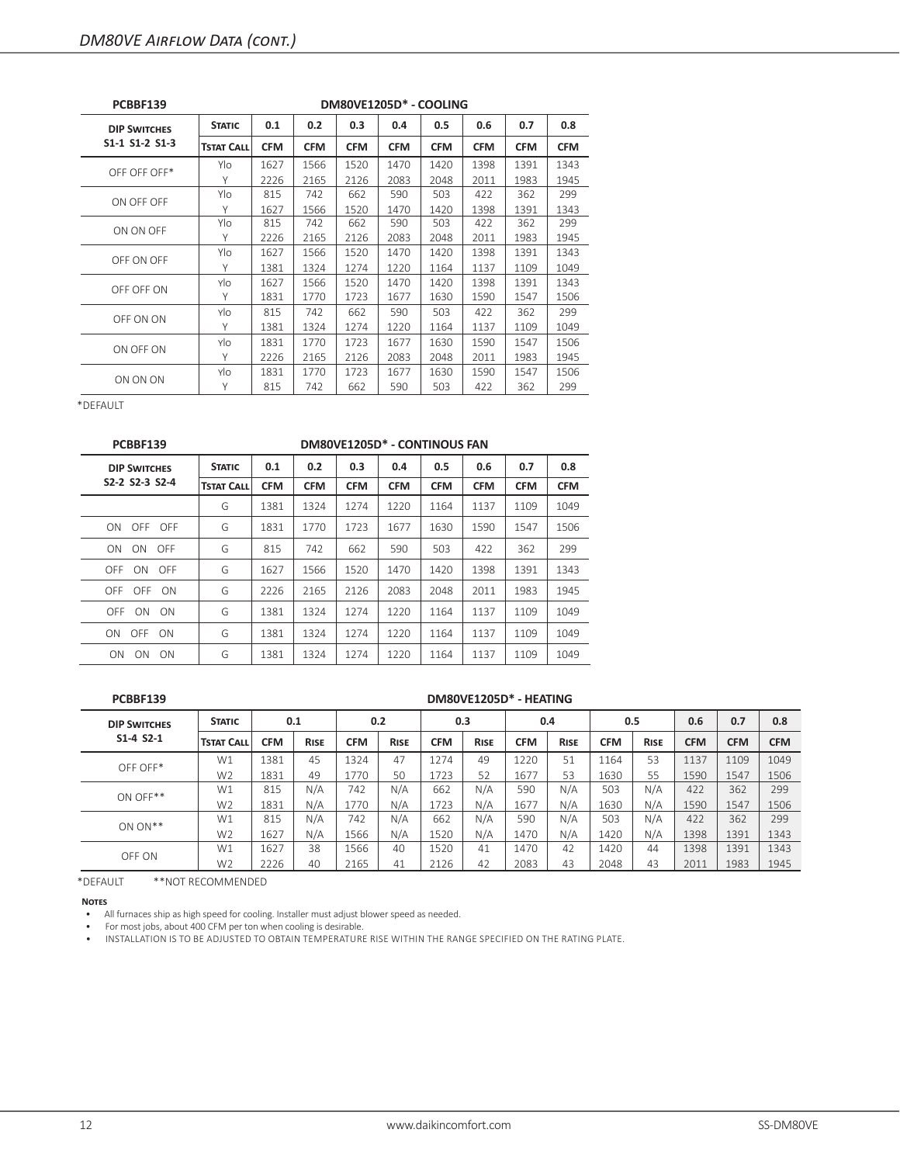| PCBBF139            |                   |            |            |            | DM80VE1205D* - COOLING |            |            |            |            |
|---------------------|-------------------|------------|------------|------------|------------------------|------------|------------|------------|------------|
| <b>DIP SWITCHES</b> | <b>STATIC</b>     | 0.1        | 0.2        | 0.3        | 0.4                    | 0.5        | 0.6        | 0.7        | 0.8        |
| S1-1 S1-2 S1-3      | <b>TSTAT CALL</b> | <b>CFM</b> | <b>CFM</b> | <b>CFM</b> | <b>CFM</b>             | <b>CFM</b> | <b>CFM</b> | <b>CFM</b> | <b>CFM</b> |
| OFF OFF OFF*        | Ylo               | 1627       | 1566       | 1520       | 1470                   | 1420       | 1398       | 1391       | 1343       |
|                     | Υ                 | 2226       | 2165       | 2126       | 2083                   | 2048       | 2011       | 1983       | 1945       |
| ON OFF OFF          | Ylo               | 815        | 742        | 662        | 590                    | 503        | 422        | 362        | 299        |
|                     | Υ                 | 1627       | 1566       | 1520       | 1470                   | 1420       | 1398       | 1391       | 1343       |
| ON ON OFF           | Ylo               | 815        | 742        | 662        | 590                    | 503        | 422        | 362        | 299        |
|                     | Υ                 | 2226       | 2165       | 2126       | 2083                   | 2048       | 2011       | 1983       | 1945       |
| OFF ON OFF          | Ylo               | 1627       | 1566       | 1520       | 1470                   | 1420       | 1398       | 1391       | 1343       |
|                     | Υ                 | 1381       | 1324       | 1274       | 1220                   | 1164       | 1137       | 1109       | 1049       |
| OFF OFF ON          | Ylo               | 1627       | 1566       | 1520       | 1470                   | 1420       | 1398       | 1391       | 1343       |
|                     | Υ                 | 1831       | 1770       | 1723       | 1677                   | 1630       | 1590       | 1547       | 1506       |
| OFF ON ON           | Ylo               | 815        | 742        | 662        | 590                    | 503        | 422        | 362        | 299        |
|                     | Υ                 | 1381       | 1324       | 1274       | 1220                   | 1164       | 1137       | 1109       | 1049       |
| ON OFF ON           | Ylo               | 1831       | 1770       | 1723       | 1677                   | 1630       | 1590       | 1547       | 1506       |
|                     | Υ                 | 2226       | 2165       | 2126       | 2083                   | 2048       | 2011       | 1983       | 1945       |
| ON ON ON            | Ylo               | 1831       | 1770       | 1723       | 1677                   | 1630       | 1590       | 1547       | 1506       |
|                     | Υ                 | 815        | 742        | 662        | 590                    | 503        | 422        | 362        | 299        |

| PCBBF139              |                   |            |            |            | DM80VE1205D* - CONTINOUS FAN |            |            |            |            |
|-----------------------|-------------------|------------|------------|------------|------------------------------|------------|------------|------------|------------|
| <b>DIP SWITCHES</b>   | <b>STATIC</b>     | 0.1        | 0.2        | 0.3        | 0.4                          | 0.5        | 0.6        | 0.7        | 0.8        |
| S2-2 S2-3 S2-4        | <b>TSTAT CALL</b> | <b>CFM</b> | <b>CFM</b> | <b>CFM</b> | <b>CFM</b>                   | <b>CFM</b> | <b>CFM</b> | <b>CFM</b> | <b>CFM</b> |
|                       | G                 | 1381       | 1324       | 1274       | 1220                         | 1164       | 1137       | 1109       | 1049       |
| ON OFF OFF            | G                 | 1831       | 1770       | 1723       | 1677                         | 1630       | 1590       | 1547       | 1506       |
| ON<br>ON<br>OFF       | G                 | 815        | 742        | 662        | 590                          | 503        | 422        | 362        | 299        |
| OFF ON OFF            | G                 | 1627       | 1566       | 1520       | 1470                         | 1420       | 1398       | 1391       | 1343       |
| OFF OFF ON            | G                 | 2226       | 2165       | 2126       | 2083                         | 2048       | 2011       | 1983       | 1945       |
| OFF<br>ON ON          | G                 | 1381       | 1324       | 1274       | 1220                         | 1164       | 1137       | 1109       | 1049       |
| ON OFF ON             | G                 | 1381       | 1324       | 1274       | 1220                         | 1164       | 1137       | 1109       | 1049       |
| <b>ON</b><br>ON<br>ON | G                 | 1381       | 1324       | 1274       | 1220                         | 1164       | 1137       | 1109       | 1049       |

**PCBBF139 DM80VE1205D\* - HEATING**

| <b>DIP SWITCHES</b> | <b>STATIC</b>     | 0.1        |             | 0.2        |             |            | 0.3         | 0.4        |             |            | 0.5         | 0.6        | 0.7        | 0.8        |
|---------------------|-------------------|------------|-------------|------------|-------------|------------|-------------|------------|-------------|------------|-------------|------------|------------|------------|
| $S1 - 4 S2 - 1$     | <b>TSTAT CALL</b> | <b>CFM</b> | <b>RISE</b> | <b>CFM</b> | <b>RISE</b> | <b>CFM</b> | <b>RISE</b> | <b>CFM</b> | <b>RISE</b> | <b>CFM</b> | <b>RISE</b> | <b>CFM</b> | <b>CFM</b> | <b>CFM</b> |
| OFF OFF*            | W1                | 1381       | 45          | 1324       | 47          | 1274       | 49          | 1220       | 51          | 1164       | 53          | 1137       | 1109       | 1049       |
|                     | W <sub>2</sub>    | 1831       | 49          | 1770       | 50          | 1723       | 52          | 1677       | 53          | 1630       | 55          | 1590       | 1547       | 1506       |
| ON OFF**            | W1                | 815        | N/A         | 742        | N/A         | 662        | N/A         | 590        | N/A         | 503        | N/A         | 422        | 362        | 299        |
|                     | W <sub>2</sub>    | 1831       | N/A         | 1770       | N/A         | 1723       | N/A         | 1677       | N/A         | 1630       | N/A         | 1590       | 1547       | 1506       |
| $ON ON**$           | W1                | 815        | N/A         | 742        | N/A         | 662        | N/A         | 590        | N/A         | 503        | N/A         | 422        | 362        | 299        |
|                     | W <sub>2</sub>    | 1627       | N/A         | 1566       | N/A         | 1520       | N/A         | 1470       | N/A         | 1420       | N/A         | 1398       | 1391       | 1343       |
| OFF ON              | W1                | 1627       | 38          | 1566       | 40          | 1520       | 41          | 1470       | 42          | 1420       | 44          | 1398       | 1391       | 1343       |
|                     | W <sub>2</sub>    | 2226       | 40          | 2165       | 41          | 2126       | 42          | 2083       | 43          | 2048       | 43          | 2011       | 1983       | 1945       |

\*DEFAULT \*\*NOT RECOMMENDED

**Notes**

• All furnaces ship as high speed for cooling. Installer must adjust blower speed as needed.

• For most jobs, about 400 CFM per ton when cooling is desirable.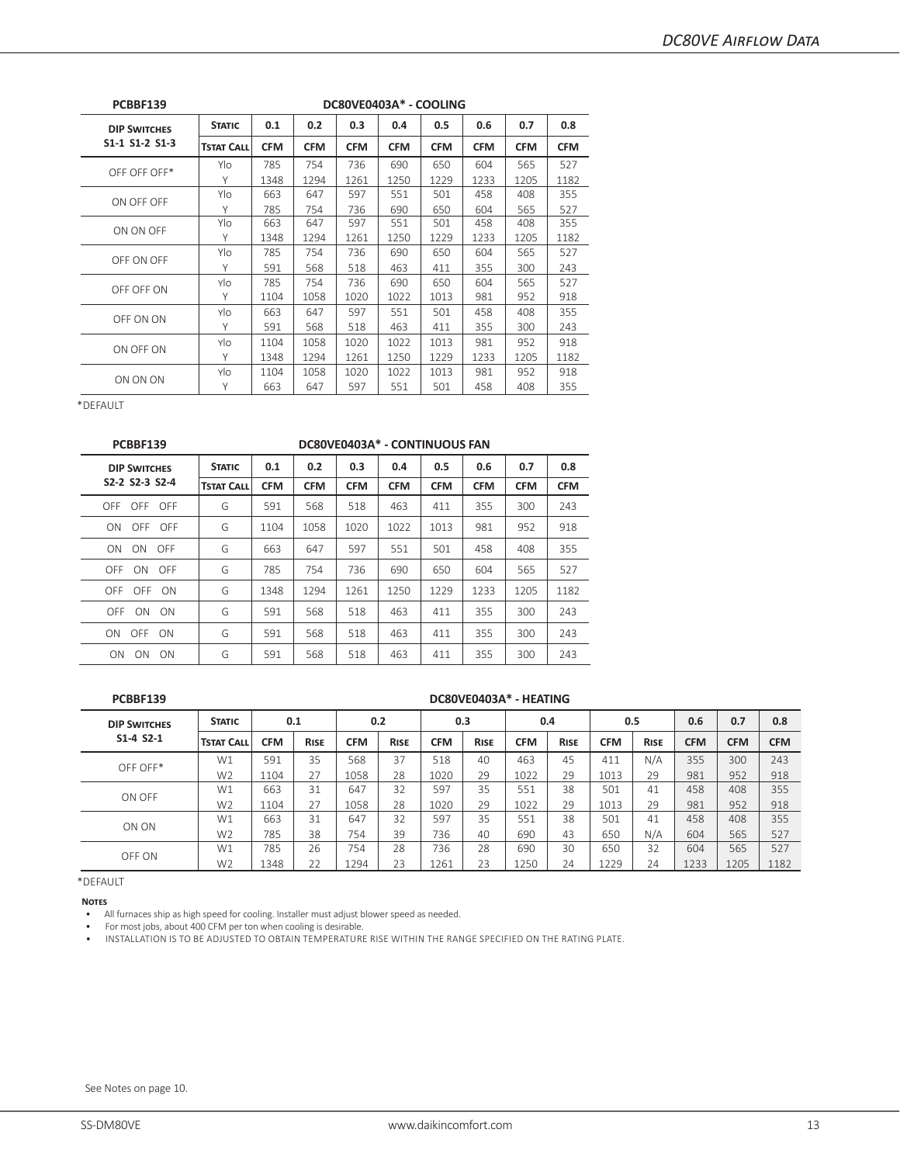| PCBBF139            |                   |            |            |            | DC80VE0403A* - COOLING |            |            |            |            |
|---------------------|-------------------|------------|------------|------------|------------------------|------------|------------|------------|------------|
| <b>DIP SWITCHES</b> | <b>STATIC</b>     | 0.1        | 0.2        | 0.3        | 0.4                    | 0.5        | 0.6        | 0.7        | 0.8        |
| $S1-1 S1-2 S1-3$    | <b>TSTAT CALL</b> | <b>CFM</b> | <b>CFM</b> | <b>CFM</b> | <b>CFM</b>             | <b>CFM</b> | <b>CFM</b> | <b>CFM</b> | <b>CFM</b> |
| OFF OFF OFF*        | Ylo               | 785        | 754        | 736        | 690                    | 650        | 604        | 565        | 527        |
|                     | Υ                 | 1348       | 1294       | 1261       | 1250                   | 1229       | 1233       | 1205       | 1182       |
|                     | Ylo               | 663        | 647        | 597        | 551                    | 501        | 458        | 408        | 355        |
| ON OFF OFF          | Y                 | 785        | 754        | 736        | 690                    | 650        | 604        | 565        | 527        |
|                     | Ylo               | 663        | 647        | 597        | 551                    | 501        | 458        | 408        | 355        |
| ON ON OFF           | Υ                 | 1348       | 1294       | 1261       | 1250                   | 1229       | 1233       | 1205       | 1182       |
| OFF ON OFF          | Ylo               | 785        | 754        | 736        | 690                    | 650        | 604        | 565        | 527        |
|                     | Y                 | 591        | 568        | 518        | 463                    | 411        | 355        | 300        | 243        |
|                     | Ylo               | 785        | 754        | 736        | 690                    | 650        | 604        | 565        | 527        |
| OFF OFF ON          | Y                 | 1104       | 1058       | 1020       | 1022                   | 1013       | 981        | 952        | 918        |
|                     | Ylo               | 663        | 647        | 597        | 551                    | 501        | 458        | 408        | 355        |
| OFF ON ON           | Υ                 | 591        | 568        | 518        | 463                    | 411        | 355        | 300        | 243        |
| ON OFF ON           | Ylo               | 1104       | 1058       | 1020       | 1022                   | 1013       | 981        | 952        | 918        |
|                     | Y                 | 1348       | 1294       | 1261       | 1250                   | 1229       | 1233       | 1205       | 1182       |
|                     | Ylo               | 1104       | 1058       | 1020       | 1022                   | 1013       | 981        | 952        | 918        |
| ON ON ON            | Υ                 | 663        | 647        | 597        | 551                    | 501        | 458        | 408        | 355        |

| DC80VE0403A* - CONTINUOUS FAN<br>0.8<br>0.1<br>0.2<br>0.3<br>0.5<br>0.4<br>0.6<br>0.7<br><b>STATIC</b><br><b>TSTAT CALL</b><br><b>CFM</b><br><b>CFM</b><br><b>CFM</b><br><b>CFM</b><br><b>CFM</b><br><b>CFM</b><br><b>CFM</b><br><b>CFM</b><br>568<br>355<br>243<br>G<br>591<br>518<br>463<br>300<br>411<br>G<br>1058<br>918<br>1104<br>1020<br>1022<br>1013<br>981<br>952<br>G<br>355<br>663<br>597<br>551<br>647<br>501<br>458<br>408<br>754<br>527<br>G<br>785<br>736<br>690<br>650<br>565<br>604<br>G<br>1348<br>1294<br>1261<br>1250<br>1229<br>1233<br>1205<br>1182<br>G<br>568<br>591<br>518<br>463<br>355<br>300<br>243<br>411 |     |     |     |     |     |     |     |     |  |
|----------------------------------------------------------------------------------------------------------------------------------------------------------------------------------------------------------------------------------------------------------------------------------------------------------------------------------------------------------------------------------------------------------------------------------------------------------------------------------------------------------------------------------------------------------------------------------------------------------------------------------------|-----|-----|-----|-----|-----|-----|-----|-----|--|
|                                                                                                                                                                                                                                                                                                                                                                                                                                                                                                                                                                                                                                        |     |     |     |     |     |     |     |     |  |
|                                                                                                                                                                                                                                                                                                                                                                                                                                                                                                                                                                                                                                        |     |     |     |     |     |     |     |     |  |
|                                                                                                                                                                                                                                                                                                                                                                                                                                                                                                                                                                                                                                        |     |     |     |     |     |     |     |     |  |
|                                                                                                                                                                                                                                                                                                                                                                                                                                                                                                                                                                                                                                        |     |     |     |     |     |     |     |     |  |
|                                                                                                                                                                                                                                                                                                                                                                                                                                                                                                                                                                                                                                        |     |     |     |     |     |     |     |     |  |
|                                                                                                                                                                                                                                                                                                                                                                                                                                                                                                                                                                                                                                        |     |     |     |     |     |     |     |     |  |
|                                                                                                                                                                                                                                                                                                                                                                                                                                                                                                                                                                                                                                        |     |     |     |     |     |     |     |     |  |
|                                                                                                                                                                                                                                                                                                                                                                                                                                                                                                                                                                                                                                        |     |     |     |     |     |     |     |     |  |
| G                                                                                                                                                                                                                                                                                                                                                                                                                                                                                                                                                                                                                                      | 591 | 568 | 518 | 463 | 411 | 355 | 300 | 243 |  |
| G                                                                                                                                                                                                                                                                                                                                                                                                                                                                                                                                                                                                                                      | 591 | 568 | 518 | 463 | 411 | 355 | 300 | 243 |  |
|                                                                                                                                                                                                                                                                                                                                                                                                                                                                                                                                                                                                                                        |     |     |     |     |     |     |     |     |  |

## **PCBBF139 DC80VE0403A\* - HEATING**

| <b>DIP SWITCHES</b> | <b>STATIC</b>     |            | 0.1         | 0.2        |             | 0.3        |             | 0.4        |             | 0.5        |             | 0.6        | 0.7        | 0.8        |
|---------------------|-------------------|------------|-------------|------------|-------------|------------|-------------|------------|-------------|------------|-------------|------------|------------|------------|
| $S1 - 4 S2 - 1$     | <b>TSTAT CALL</b> | <b>CFM</b> | <b>RISE</b> | <b>CFM</b> | <b>RISE</b> | <b>CFM</b> | <b>RISE</b> | <b>CFM</b> | <b>RISE</b> | <b>CFM</b> | <b>RISE</b> | <b>CFM</b> | <b>CFM</b> | <b>CFM</b> |
| OFF OFF*            | W1                | 591        | 35          | 568        | 37          | 518        | 40          | 463        | 45          | 411        | N/A         | 355        | 300        | 243        |
|                     | W <sub>2</sub>    | 1104       | 27          | 1058       | 28          | 1020       | 29          | 1022       | 29          | 1013       | 29          | 981        | 952        | 918        |
| ON OFF              | W1                | 663        | 31          | 647        | 32          | 597        | 35          | 551        | 38          | 501        | 41          | 458        | 408        | 355        |
|                     | W <sub>2</sub>    | 1104       | 27          | 1058       | 28          | 1020       | 29          | 1022       | 29          | 1013       | 29          | 981        | 952        | 918        |
| ON ON               | W1                | 663        | 31          | 647        | 32          | 597        | 35          | 551        | 38          | 501        | 41          | 458        | 408        | 355        |
|                     | W <sub>2</sub>    | 785        | 38          | 754        | 39          | 736        | 40          | 690        | 43          | 650        | N/A         | 604        | 565        | 527        |
| OFF ON              | W1                | 785        | 26          | 754        | 28          | 736        | 28          | 690        | 30          | 650        | 32          | 604        | 565        | 527        |
|                     | W <sub>2</sub>    | 1348       | 22          | L294       | 23          | 1261       | 23          | 1250       | 24          | 1229       | 24          | 1233       | 1205       | 1182       |

\*DEFAULT

**Notes**

• All furnaces ship as high speed for cooling. Installer must adjust blower speed as needed.

• For most jobs, about 400 CFM per ton when cooling is desirable.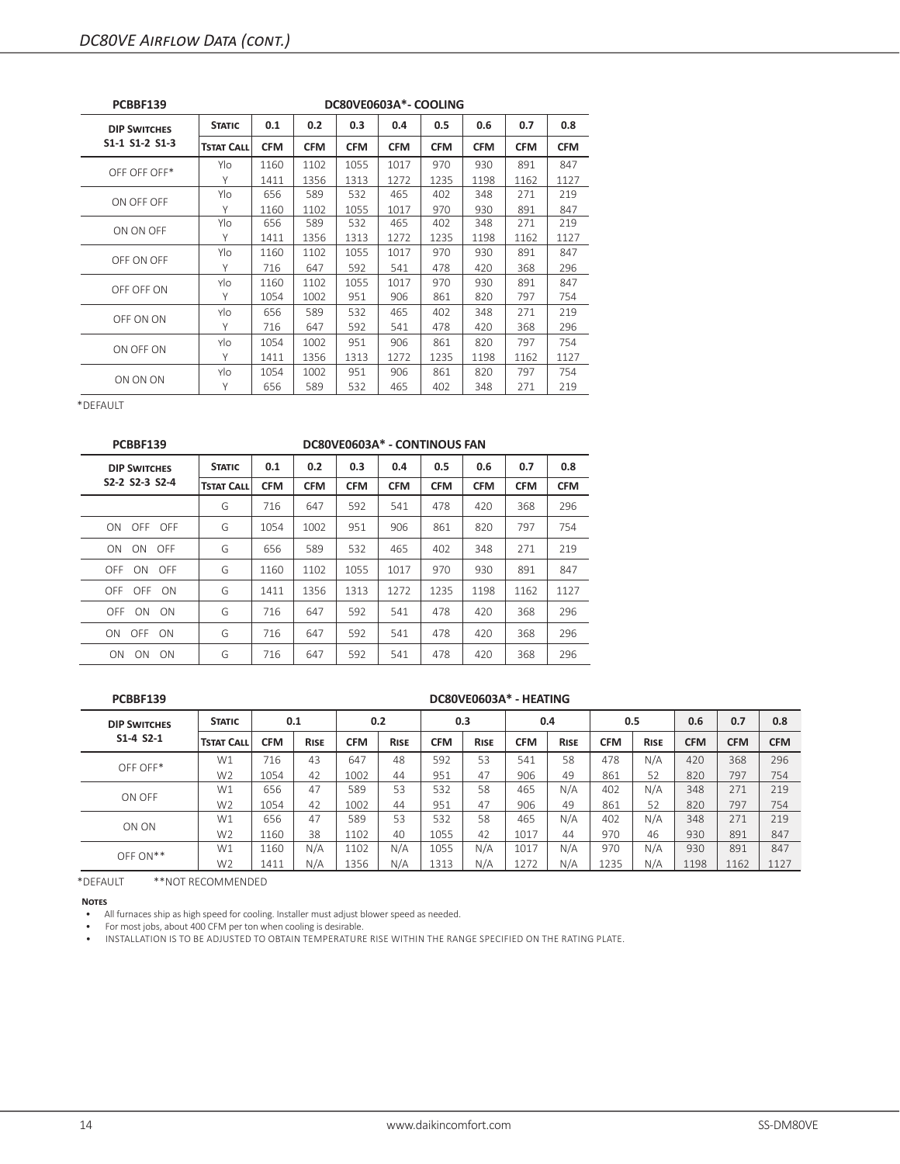| PCBBF139            |                   |            |            |            | DC80VE0603A*-COOLING |            |            |            |            |
|---------------------|-------------------|------------|------------|------------|----------------------|------------|------------|------------|------------|
| <b>DIP SWITCHES</b> | <b>STATIC</b>     | 0.1        | 0.2        | 0.3        | 0.4                  | 0.5        | 0.6        | 0.7        | 0.8        |
| S1-1 S1-2 S1-3      | <b>TSTAT CALL</b> | <b>CFM</b> | <b>CFM</b> | <b>CFM</b> | <b>CFM</b>           | <b>CFM</b> | <b>CFM</b> | <b>CFM</b> | <b>CFM</b> |
| OFF OFF OFF*        | Ylo               | 1160       | 1102       | 1055       | 1017                 | 970        | 930        | 891        | 847        |
|                     | Υ                 | 1411       | 1356       | 1313       | 1272                 | 1235       | 1198       | 1162       | 1127       |
| ON OFF OFF          | Ylo               | 656        | 589        | 532        | 465                  | 402        | 348        | 271        | 219        |
|                     | Υ                 | 1160       | 1102       | 1055       | 1017                 | 970        | 930        | 891        | 847        |
| ON ON OFF           | Ylo               | 656        | 589        | 532        | 465                  | 402        | 348        | 271        | 219        |
|                     | Υ                 | 1411       | 1356       | 1313       | 1272                 | 1235       | 1198       | 1162       | 1127       |
| OFF ON OFF          | Ylo               | 1160       | 1102       | 1055       | 1017                 | 970        | 930        | 891        | 847        |
|                     | Υ                 | 716        | 647        | 592        | 541                  | 478        | 420        | 368        | 296        |
| OFF OFF ON          | Ylo               | 1160       | 1102       | 1055       | 1017                 | 970        | 930        | 891        | 847        |
|                     | Υ                 | 1054       | 1002       | 951        | 906                  | 861        | 820        | 797        | 754        |
|                     | Ylo               | 656        | 589        | 532        | 465                  | 402        | 348        | 271        | 219        |
| OFF ON ON           | Υ                 | 716        | 647        | 592        | 541                  | 478        | 420        | 368        | 296        |
|                     | Ylo               | 1054       | 1002       | 951        | 906                  | 861        | 820        | 797        | 754        |
| ON OFF ON           | Υ                 | 1411       | 1356       | 1313       | 1272                 | 1235       | 1198       | 1162       | 1127       |
|                     | Ylo               | 1054       | 1002       | 951        | 906                  | 861        | 820        | 797        | 754        |
| ON ON ON            | Υ                 | 656        | 589        | 532        | 465                  | 402        | 348        | 271        | 219        |

| PCBBF139            |                   |            |            |            | DC80VE0603A* - CONTINOUS FAN |            |            |            |            |
|---------------------|-------------------|------------|------------|------------|------------------------------|------------|------------|------------|------------|
| <b>DIP SWITCHES</b> | <b>STATIC</b>     | 0.1        | 0.2        | 0.3        | 0.4                          | 0.5        | 0.6        | 0.7        | 0.8        |
| S2-2 S2-3 S2-4      | <b>TSTAT CALL</b> | <b>CFM</b> | <b>CFM</b> | <b>CFM</b> | <b>CFM</b>                   | <b>CFM</b> | <b>CFM</b> | <b>CFM</b> | <b>CFM</b> |
|                     | G                 | 716        | 647        | 592        | 541                          | 478        | 420        | 368        | 296        |
| OFF OFF<br>ON       | G                 | 1054       | 1002       | 951        | 906                          | 861        | 820        | 797        | 754        |
| ON ON<br>OFF        | G                 | 656        | 589        | 532        | 465                          | 402        | 348        | 271        | 219        |
| OFF ON OFF          | G                 | 1160       | 1102       | 1055       | 1017                         | 970        | 930        | 891        | 847        |
| OFF OFF ON          | G                 | 1411       | 1356       | 1313       | 1272                         | 1235       | 1198       | 1162       | 1127       |
| OFF ON ON           | G                 | 716        | 647        | 592        | 541                          | 478        | 420        | 368        | 296        |
| ON OFF ON           | G                 | 716        | 647        | 592        | 541                          | 478        | 420        | 368        | 296        |
| ON ON ON            | G                 | 716        | 647        | 592        | 541                          | 478        | 420        | 368        | 296        |

**PCBBF139 DC80VE0603A\* - HEATING**

| <b>DIP SWITCHES</b> | <b>STATIC</b>     | 0.1        |             | 0.2        |             |            | 0.3         |            | 0.4         |            | 0.5         | 0.6        | 0.7        | 0.8        |
|---------------------|-------------------|------------|-------------|------------|-------------|------------|-------------|------------|-------------|------------|-------------|------------|------------|------------|
| $S1 - 4 S2 - 1$     | <b>TSTAT CALL</b> | <b>CFM</b> | <b>RISE</b> | <b>CFM</b> | <b>RISE</b> | <b>CFM</b> | <b>RISE</b> | <b>CFM</b> | <b>RISE</b> | <b>CFM</b> | <b>RISE</b> | <b>CFM</b> | <b>CFM</b> | <b>CFM</b> |
| OFF OFF*            | W1                | 716        | 43          | 647        | 48          | 592        | 53          | 541        | 58          | 478        | N/A         | 420        | 368        | 296        |
|                     | W <sub>2</sub>    | 1054       | 42          | 1002       | 44          | 951        | 47          | 906        | 49          | 861        | 52          | 820        | 797        | 754        |
| ON OFF              | W1                | 656        | 47          | 589        | 53          | 532        | 58          | 465        | N/A         | 402        | N/A         | 348        | 271        | 219        |
|                     | W <sub>2</sub>    | 1054       | 42          | 1002       | 44          | 951        | 47          | 906        | 49          | 861        | 52          | 820        | 797        | 754        |
| ON ON               | W1                | 656        | 47          | 589        | 53          | 532        | 58          | 465        | N/A         | 402        | N/A         | 348        | 271        | 219        |
|                     | W <sub>2</sub>    | 1160       | 38          | 1102       | 40          | 1055       | 42          | 1017       | 44          | 970        | 46          | 930        | 891        | 847        |
| $OFF ON**$          | W1                | 1160       | N/A         | 1102       | N/A         | 1055       | N/A         | 1017       | N/A         | 970        | N/A         | 930        | 891        | 847        |
|                     | W <sub>2</sub>    | 1411       | N/A         | 1356       | N/A         | 1313       | N/A         | 1272       | N/A         | 1235       | N/A         | 1198       | 1162       | 1127       |

\*DEFAULT \*\*NOT RECOMMENDED

**Notes**

• All furnaces ship as high speed for cooling. Installer must adjust blower speed as needed.

• For most jobs, about 400 CFM per ton when cooling is desirable.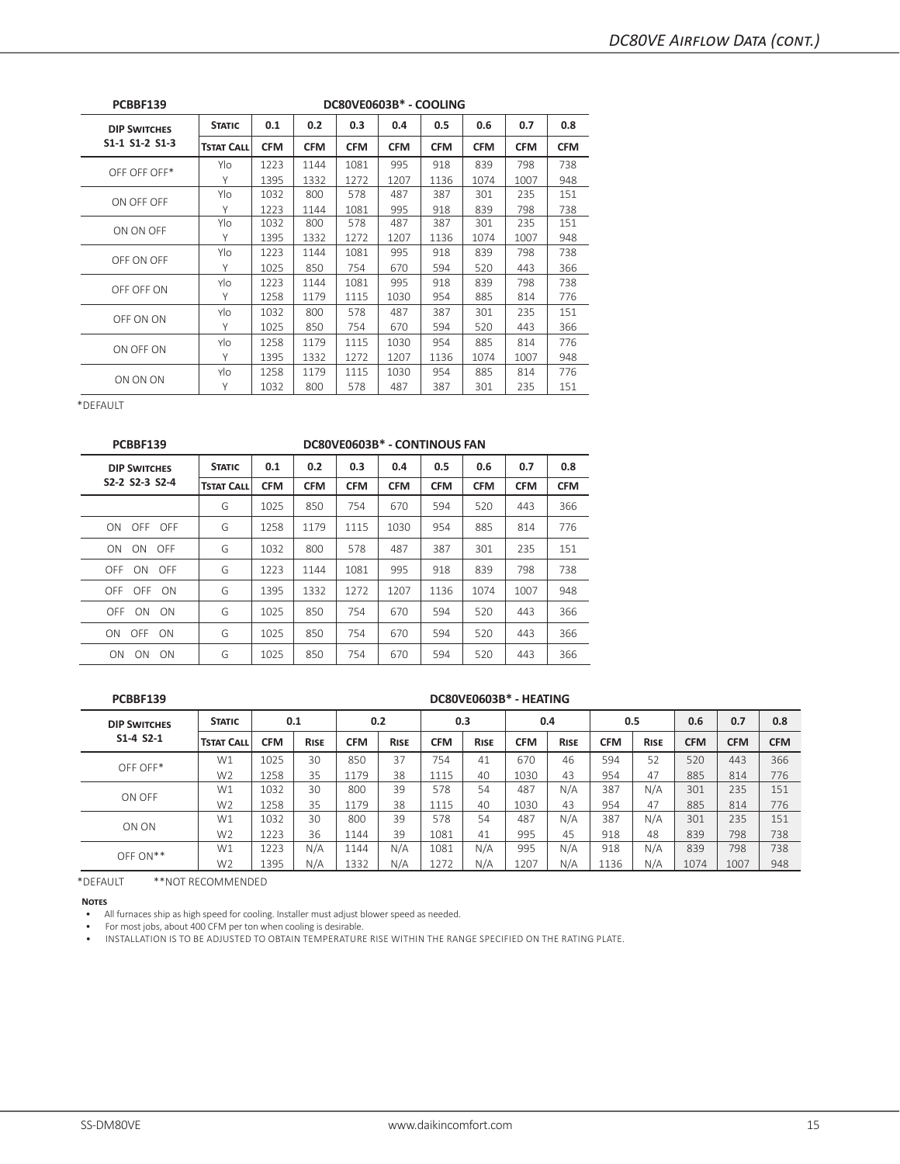| PCBBF139            |                   |            |            |            | DC80VE0603B* - COOLING |            |            |            |            |
|---------------------|-------------------|------------|------------|------------|------------------------|------------|------------|------------|------------|
| <b>DIP SWITCHES</b> | <b>STATIC</b>     | 0.1        | 0.2        | 0.3        | 0.4                    | 0.5        | 0.6        | 0.7        | 0.8        |
| S1-1 S1-2 S1-3      | <b>TSTAT CALL</b> | <b>CFM</b> | <b>CFM</b> | <b>CFM</b> | <b>CFM</b>             | <b>CFM</b> | <b>CFM</b> | <b>CFM</b> | <b>CFM</b> |
| OFF OFF OFF*        | Ylo               | 1223       | 1144       | 1081       | 995                    | 918        | 839        | 798        | 738        |
|                     | Υ                 | 1395       | 1332       | 1272       | 1207                   | 1136       | 1074       | 1007       | 948        |
| ON OFF OFF          | Ylo               | 1032       | 800        | 578        | 487                    | 387        | 301        | 235        | 151        |
|                     | Υ                 | 1223       | 1144       | 1081       | 995                    | 918        | 839        | 798        | 738        |
| ON ON OFF           | Ylo               | 1032       | 800        | 578        | 487                    | 387        | 301        | 235        | 151        |
|                     | Υ                 | 1395       | 1332       | 1272       | 1207                   | 1136       | 1074       | 1007       | 948        |
| OFF ON OFF          | Ylo               | 1223       | 1144       | 1081       | 995                    | 918        | 839        | 798        | 738        |
|                     | Υ                 | 1025       | 850        | 754        | 670                    | 594        | 520        | 443        | 366        |
| OFF OFF ON          | Ylo               | 1223       | 1144       | 1081       | 995                    | 918        | 839        | 798        | 738        |
|                     | Υ                 | 1258       | 1179       | 1115       | 1030                   | 954        | 885        | 814        | 776        |
| OFF ON ON           | Ylo               | 1032       | 800        | 578        | 487                    | 387        | 301        | 235        | 151        |
|                     | Υ                 | 1025       | 850        | 754        | 670                    | 594        | 520        | 443        | 366        |
| ON OFF ON           | Ylo               | 1258       | 1179       | 1115       | 1030                   | 954        | 885        | 814        | 776        |
|                     | Υ                 | 1395       | 1332       | 1272       | 1207                   | 1136       | 1074       | 1007       | 948        |
|                     | Ylo               | 1258       | 1179       | 1115       | 1030                   | 954        | 885        | 814        | 776        |
| ON ON ON            | Υ                 | 1032       | 800        | 578        | 487                    | 387        | 301        | 235        | 151        |

| PCBBF139                                              |                   |            |            |            | DC80VE0603B* - CONTINOUS FAN |            |            |            |            |
|-------------------------------------------------------|-------------------|------------|------------|------------|------------------------------|------------|------------|------------|------------|
| <b>DIP SWITCHES</b>                                   | <b>STATIC</b>     | 0.1        | 0.2        | 0.3        | 0.4                          | 0.5        | 0.6        | 0.7        | 0.8        |
| S <sub>2</sub> -2 S <sub>2</sub> -3 S <sub>2</sub> -4 | <b>TSTAT CALL</b> | <b>CFM</b> | <b>CFM</b> | <b>CFM</b> | <b>CFM</b>                   | <b>CFM</b> | <b>CFM</b> | <b>CFM</b> | <b>CFM</b> |
|                                                       | G                 | 1025       | 850        | 754        | 670                          | 594        | 520        | 443        | 366        |
| OFF OFF<br>ON                                         | G                 | 1258       | 1179       | 1115       | 1030                         | 954        | 885        | 814        | 776        |
| ON ON OFF                                             | G                 | 1032       | 800        | 578        | 487                          | 387        | 301        | 235        | 151        |
| OFF ON OFF                                            | G                 | 1223       | 1144       | 1081       | 995                          | 918        | 839        | 798        | 738        |
| OFF OFF ON                                            | G                 | 1395       | 1332       | 1272       | 1207                         | 1136       | 1074       | 1007       | 948        |
| OFF ON<br>- ON                                        | G                 | 1025       | 850        | 754        | 670                          | 594        | 520        | 443        | 366        |
| ON OFF ON                                             | G                 | 1025       | 850        | 754        | 670                          | 594        | 520        | 443        | 366        |
| ON ON ON                                              | G                 | 1025       | 850        | 754        | 670                          | 594        | 520        | 443        | 366        |
|                                                       |                   |            |            |            |                              |            |            |            |            |

#### **PCBBF139 DC80VE0603B\* - HEATING**

| <b>DIP SWITCHES</b> | <b>STATIC</b>     | 0.1        |             | 0.2        |             |            | 0.3         |            | 0.4         |            | 0.5         | 0.6        | 0.7        | 0.8        |
|---------------------|-------------------|------------|-------------|------------|-------------|------------|-------------|------------|-------------|------------|-------------|------------|------------|------------|
| $S1 - 4 S2 - 1$     | <b>TSTAT CALL</b> | <b>CFM</b> | <b>RISE</b> | <b>CFM</b> | <b>RISE</b> | <b>CFM</b> | <b>RISE</b> | <b>CFM</b> | <b>RISE</b> | <b>CFM</b> | <b>RISE</b> | <b>CFM</b> | <b>CFM</b> | <b>CFM</b> |
| OFF OFF*            | W1                | 1025       | 30          | 850        | 37          | 754        | 41          | 670        | 46          | 594        | 52          | 520        | 443        | 366        |
|                     | W <sub>2</sub>    | 1258       | 35          | L179       | 38          | .115       | 40          | 1030       | 43          | 954        | 47          | 885        | 814        | 776        |
| ON OFF              | W1                | 1032       | 30          | 800        | 39          | 578        | 54          | 487        | N/A         | 387        | N/A         | 301        | 235        | 151        |
|                     | W <sub>2</sub>    | 1258       | 35          | 1179       | 38          | 1115       | 40          | 1030       | 43          | 954        | 47          | 885        | 814        | 776        |
| ON ON               | W1                | 1032       | 30          | 800        | 39          | 578        | 54          | 487        | N/A         | 387        | N/A         | 301        | 235        | 151        |
|                     | W <sub>2</sub>    | 1223       | 36          | 1144       | 39          | 1081       | 41          | 995        | 45          | 918        | 48          | 839        | 798        | 738        |
| $OFF ON**$          | W1                | 1223       | N/A         | 1144       | N/A         | 1081       | N/A         | 995        | N/A         | 918        | N/A         | 839        | 798        | 738        |
|                     | W <sub>2</sub>    | 1395       | N/A         | 1332       | N/A         | 1272       | N/A         | 1207       | N/A         | 1136       | N/A         | 1074       | 1007       | 948        |

\*DEFAULT \*\*NOT RECOMMENDED

**Notes**

• All furnaces ship as high speed for cooling. Installer must adjust blower speed as needed.

• For most jobs, about 400 CFM per ton when cooling is desirable.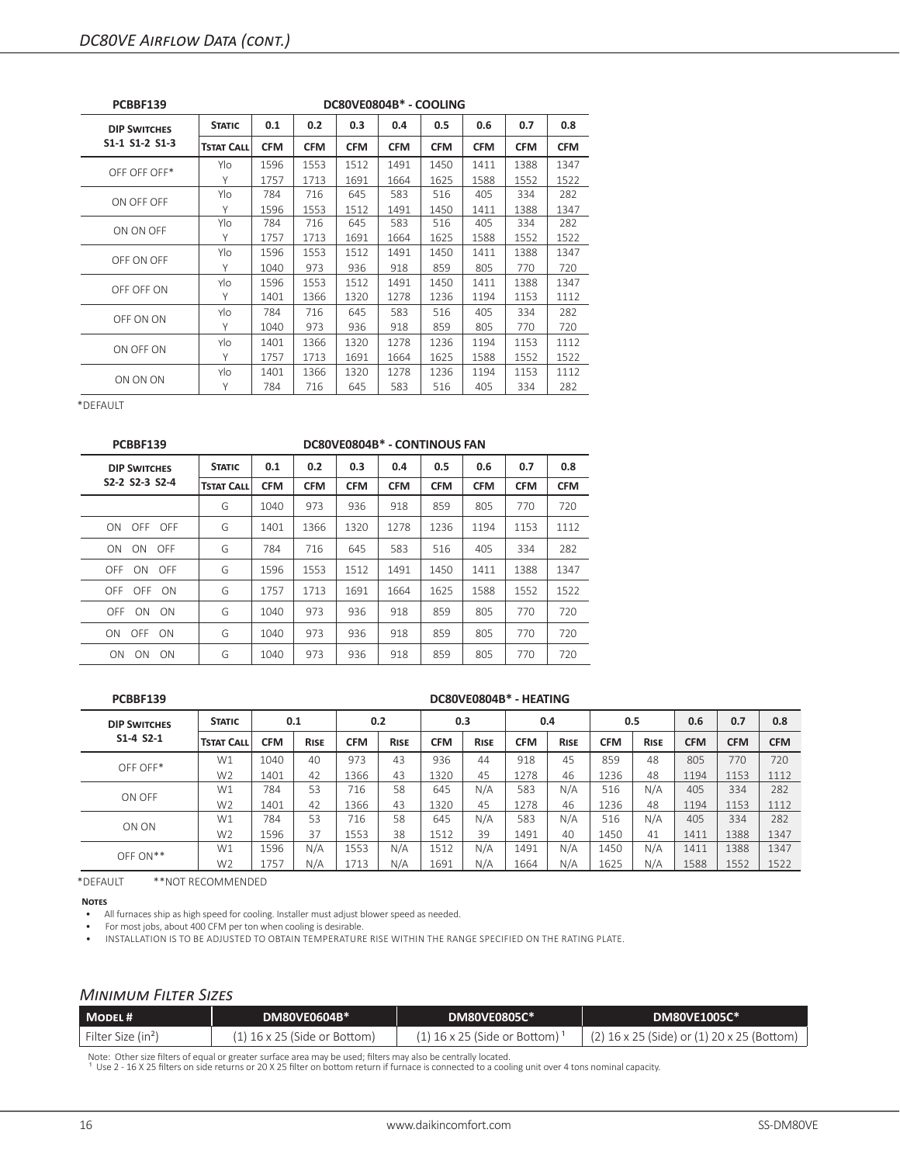| <b>PCBBF139</b>     |                   |            |            |            | DC80VE0804B* - COOLING |            |            |            |            |
|---------------------|-------------------|------------|------------|------------|------------------------|------------|------------|------------|------------|
| <b>DIP SWITCHES</b> | <b>STATIC</b>     | 0.1        | 0.2        | 0.3        | 0.4                    | 0.5        | 0.6        | 0.7        | 0.8        |
| S1-1 S1-2 S1-3      | <b>TSTAT CALL</b> | <b>CFM</b> | <b>CFM</b> | <b>CFM</b> | <b>CFM</b>             | <b>CFM</b> | <b>CFM</b> | <b>CFM</b> | <b>CFM</b> |
| OFF OFF OFF*        | Ylo               | 1596       | 1553       | 1512       | 1491                   | 1450       | 1411       | 1388       | 1347       |
|                     | Υ                 | 1757       | 1713       | 1691       | 1664                   | 1625       | 1588       | 1552       | 1522       |
| ON OFF OFF          | Ylo               | 784        | 716        | 645        | 583                    | 516        | 405        | 334        | 282        |
|                     | Υ                 | 1596       | 1553       | 1512       | 1491                   | 1450       | 1411       | 1388       | 1347       |
| ON ON OFF           | Ylo               | 784        | 716        | 645        | 583                    | 516        | 405        | 334        | 282        |
|                     | Υ                 | 1757       | 1713       | 1691       | 1664                   | 1625       | 1588       | 1552       | 1522       |
| OFF ON OFF          | Ylo               | 1596       | 1553       | 1512       | 1491                   | 1450       | 1411       | 1388       | 1347       |
|                     | Υ                 | 1040       | 973        | 936        | 918                    | 859        | 805        | 770        | 720        |
| OFF OFF ON          | Ylo               | 1596       | 1553       | 1512       | 1491                   | 1450       | 1411       | 1388       | 1347       |
|                     | Υ                 | 1401       | 1366       | 1320       | 1278                   | 1236       | 1194       | 1153       | 1112       |
|                     | Ylo               | 784        | 716        | 645        | 583                    | 516        | 405        | 334        | 282        |
| OFF ON ON           | Υ                 | 1040       | 973        | 936        | 918                    | 859        | 805        | 770        | 720        |
| ON OFF ON           | Ylo               | 1401       | 1366       | 1320       | 1278                   | 1236       | 1194       | 1153       | 1112       |
|                     | Υ                 | 1757       | 1713       | 1691       | 1664                   | 1625       | 1588       | 1552       | 1522       |
|                     | Ylo               | 1401       | 1366       | 1320       | 1278                   | 1236       | 1194       | 1153       | 1112       |
| ON ON ON            | Υ                 | 784        | 716        | 645        | 583                    | 516        | 405        | 334        | 282        |

| PCBBF139               |                   |            |            | DC80VE0804B* - CONTINOUS FAN |            |            |            |            |            |
|------------------------|-------------------|------------|------------|------------------------------|------------|------------|------------|------------|------------|
| <b>DIP SWITCHES</b>    | <b>STATIC</b>     | 0.1        | 0.2        | 0.3                          | 0.4        | 0.5        | 0.6        | 0.7        | 0.8        |
| S2-2 S2-3 S2-4         | <b>TSTAT CALL</b> | <b>CFM</b> | <b>CFM</b> | <b>CFM</b>                   | <b>CFM</b> | <b>CFM</b> | <b>CFM</b> | <b>CFM</b> | <b>CFM</b> |
|                        | G                 | 1040       | 973        | 936                          | 918        | 859        | 805        | 770        | 720        |
| ON OFF OFF             | G                 | 1401       | 1366       | 1320                         | 1278       | 1236       | 1194       | 1153       | 1112       |
| ON<br>OFF<br>ON        | G                 | 784        | 716        | 645                          | 583        | 516        | 405        | 334        | 282        |
| OFF ON OFF             | G                 | 1596       | 1553       | 1512                         | 1491       | 1450       | 1411       | 1388       | 1347       |
| OFF OFF ON             | G                 | 1757       | 1713       | 1691                         | 1664       | 1625       | 1588       | 1552       | 1522       |
| OFF<br>ON<br>- ON      | G                 | 1040       | 973        | 936                          | 918        | 859        | 805        | 770        | 720        |
| ON OFF ON              | G                 | 1040       | 973        | 936                          | 918        | 859        | 805        | 770        | 720        |
| <b>ON</b><br>ON.<br>ON | G                 | 1040       | 973        | 936                          | 918        | 859        | 805        | 770        | 720        |

|  |   | i |
|--|---|---|
|  | - |   |
|  |   |   |

#### **PCBBF139 DC80VE0804B\* - HEATING**

| <b>DIP SWITCHES</b> | <b>STATIC</b>     | 0.1        |             |            | 0.2         |            | 0.3         |            | 0.4         | 0.5        |             | 0.6        | 0.7        | 0.8        |
|---------------------|-------------------|------------|-------------|------------|-------------|------------|-------------|------------|-------------|------------|-------------|------------|------------|------------|
| $S1 - 4 S2 - 1$     | <b>TSTAT CALL</b> | <b>CFM</b> | <b>RISE</b> | <b>CFM</b> | <b>RISE</b> | <b>CFM</b> | <b>RISE</b> | <b>CFM</b> | <b>RISE</b> | <b>CFM</b> | <b>RISE</b> | <b>CFM</b> | <b>CFM</b> | <b>CFM</b> |
| OFF OFF*            | W1                | 1040       | 40          | 973        | 43          | 936        | 44          | 918        | 45          | 859        | 48          | 805        | 770        | 720        |
|                     | W <sub>2</sub>    | 1401       | 42          | 1366       | 43          | 1320       | 45          | 1278       | 46          | 1236       | 48          | 1194       | 1153       | 1112       |
| ON OFF              | W1                | 784        | 53          | 716        | 58          | 645        | N/A         | 583        | N/A         | 516        | N/A         | 405        | 334        | 282        |
|                     | W <sub>2</sub>    | 1401       | 42          | 1366       | 43          | 1320       | 45          | 1278       | 46          | 1236       | 48          | 1194       | 1153       | 1112       |
| ON ON               | W1                | 784        | 53          | 716        | 58          | 645        | N/A         | 583        | N/A         | 516        | N/A         | 405        | 334        | 282        |
|                     | W <sub>2</sub>    | 1596       | 37          | 1553       | 38          | 1512       | 39          | 1491       | 40          | 1450       | 41          | 1411       | 1388       | 1347       |
| $OFF ON**$          | W1                | 1596       | N/A         | 1553       | N/A         | 1512       | N/A         | 1491       | N/A         | 1450       | N/A         | 1411       | 1388       | 1347       |
|                     | W <sub>2</sub>    | 1757       | N/A         | 1713       | N/A         | 1691       | N/A         | 1664       | N/A         | 1625       | N/A         | 1588       | 1552       | 1522       |

\*DEFAULT \*\*NOT RECOMMENDED

**Notes**

• All furnaces ship as high speed for cooling. Installer must adjust blower speed as needed.

• For most jobs, about 400 CFM per ton when cooling is desirable.

• INSTALLATION IS TO BE ADJUSTED TO OBTAIN TEMPERATURE RISE WITHIN THE RANGE SPECIFIED ON THE RATING PLATE.

## *Minimum Filter Sizes*

| MODEL#                         | DM80VE0604B* \                 | <b>DM80VE0805C*</b>                       | <b>DM80VE1005C*</b>                          |
|--------------------------------|--------------------------------|-------------------------------------------|----------------------------------------------|
| Filter Size (in <sup>2</sup> ) | $(1)$ 16 x 25 (Side or Bottom) | (1) 16 x 25 (Side or Bottom) <sup>;</sup> | $(2)$ 16 x 25 (Side) or (1) 20 x 25 (Bottom) |

Note: Other size filters of equal or greater surface area may be used; filters may also be centrally located.<br>1 Use 2 - 16 X 25 filters on side returns or 20 X 25 filter on bottom return if furnace is connected to a coolin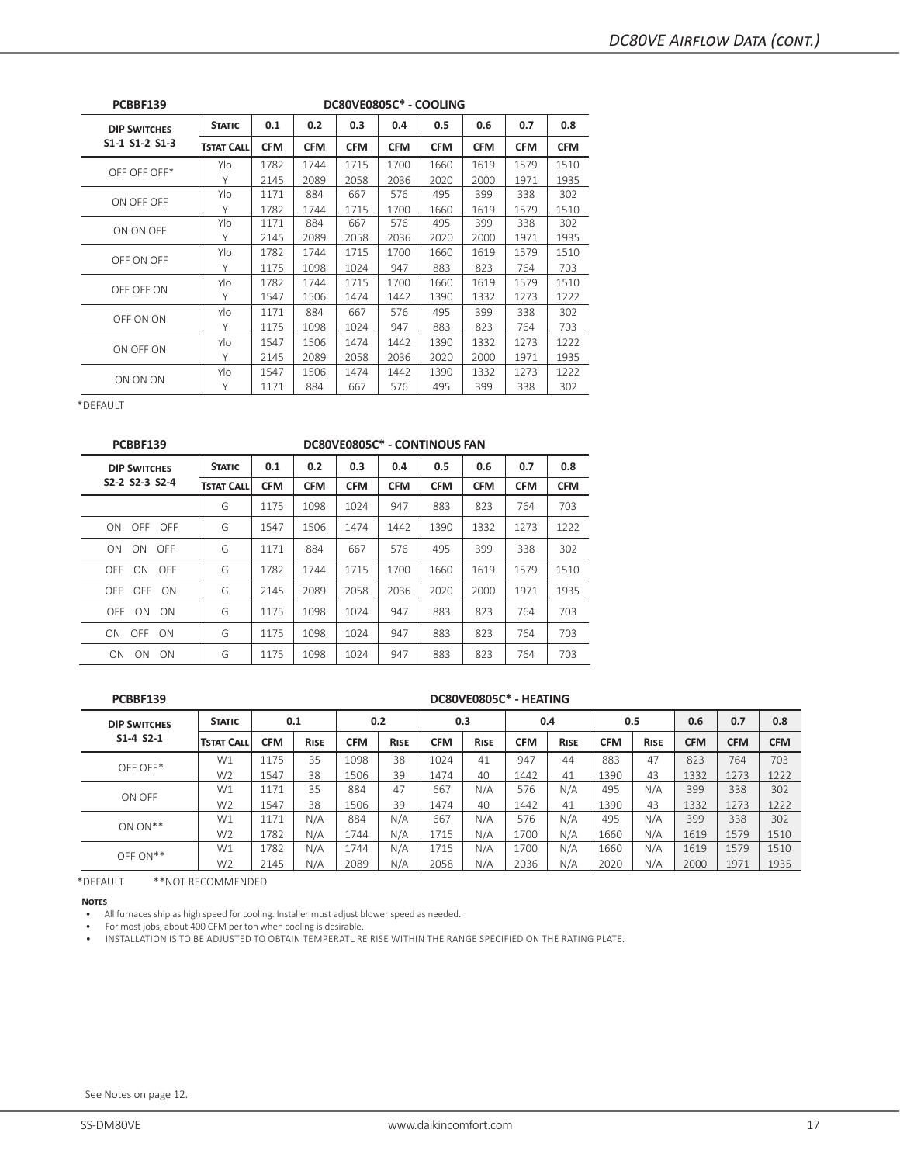| PCBBF139            | DC80VE0805C* - COOLING |            |            |            |            |            |            |            |            |  |
|---------------------|------------------------|------------|------------|------------|------------|------------|------------|------------|------------|--|
| <b>DIP SWITCHES</b> | <b>STATIC</b>          | 0.1        | 0.2        | 0.3        | 0.4        | 0.5        | 0.6        | 0.7        | 0.8        |  |
| S1-1 S1-2 S1-3      | <b>TSTAT CALL</b>      | <b>CFM</b> | <b>CFM</b> | <b>CFM</b> | <b>CFM</b> | <b>CFM</b> | <b>CFM</b> | <b>CFM</b> | <b>CFM</b> |  |
| OFF OFF OFF*        | Ylo                    | 1782       | 1744       | 1715       | 1700       | 1660       | 1619       | 1579       | 1510       |  |
|                     | Y                      | 2145       | 2089       | 2058       | 2036       | 2020       | 2000       | 1971       | 1935       |  |
| ON OFF OFF          | Ylo                    | 1171       | 884        | 667        | 576        | 495        | 399        | 338        | 302        |  |
|                     | Υ                      | 1782       | 1744       | 1715       | 1700       | 1660       | 1619       | 1579       | 1510       |  |
| ON ON OFF           | Ylo                    | 1171       | 884        | 667        | 576        | 495        | 399        | 338        | 302        |  |
|                     | Υ                      | 2145       | 2089       | 2058       | 2036       | 2020       | 2000       | 1971       | 1935       |  |
| OFF ON OFF          | Ylo                    | 1782       | 1744       | 1715       | 1700       | 1660       | 1619       | 1579       | 1510       |  |
|                     | Υ                      | 1175       | 1098       | 1024       | 947        | 883        | 823        | 764        | 703        |  |
| OFF OFF ON          | Ylo                    | 1782       | 1744       | 1715       | 1700       | 1660       | 1619       | 1579       | 1510       |  |
|                     | Υ                      | 1547       | 1506       | 1474       | 1442       | 1390       | 1332       | 1273       | 1222       |  |
|                     | Ylo                    | 1171       | 884        | 667        | 576        | 495        | 399        | 338        | 302        |  |
| OFF ON ON           | Υ                      | 1175       | 1098       | 1024       | 947        | 883        | 823        | 764        | 703        |  |
| ON OFF ON           | Ylo                    | 1547       | 1506       | 1474       | 1442       | 1390       | 1332       | 1273       | 1222       |  |
|                     | Υ                      | 2145       | 2089       | 2058       | 2036       | 2020       | 2000       | 1971       | 1935       |  |
|                     | Ylo                    | 1547       | 1506       | 1474       | 1442       | 1390       | 1332       | 1273       | 1222       |  |
| ON ON ON            | Υ                      | 1171       | 884        | 667        | 576        | 495        | 399        | 338        | 302        |  |

| PCBBF139            | DC80VE0805C* - CONTINOUS FAN |            |            |            |            |            |            |            |            |  |
|---------------------|------------------------------|------------|------------|------------|------------|------------|------------|------------|------------|--|
| <b>DIP SWITCHES</b> | <b>STATIC</b>                | 0.1        | 0.2        | 0.3        | 0.4        | 0.5        | 0.6        | 0.7        | 0.8        |  |
| S2-2 S2-3 S2-4      | <b>TSTAT CALL</b>            | <b>CFM</b> | <b>CFM</b> | <b>CFM</b> | <b>CFM</b> | <b>CFM</b> | <b>CFM</b> | <b>CFM</b> | <b>CFM</b> |  |
|                     | G                            | 1175       | 1098       | 1024       | 947        | 883        | 823        | 764        | 703        |  |
| ON OFF OFF          | G                            | 1547       | 1506       | 1474       | 1442       | 1390       | 1332       | 1273       | 1222       |  |
| ON ON OFF           | G                            | 1171       | 884        | 667        | 576        | 495        | 399        | 338        | 302        |  |
| OFF ON OFF          | G                            | 1782       | 1744       | 1715       | 1700       | 1660       | 1619       | 1579       | 1510       |  |
| OFF OFF ON          | G                            | 2145       | 2089       | 2058       | 2036       | 2020       | 2000       | 1971       | 1935       |  |
| OFF ON<br>- ON      | G                            | 1175       | 1098       | 1024       | 947        | 883        | 823        | 764        | 703        |  |
| ON OFF ON           | G                            | 1175       | 1098       | 1024       | 947        | 883        | 823        | 764        | 703        |  |
| ON.<br>ON<br>- ON   | G                            | 1175       | 1098       | 1024       | 947        | 883        | 823        | 764        | 703        |  |
|                     |                              |            |            |            |            |            |            |            |            |  |

#### **PCBBF139 DC80VE0805C\* - HEATING**

| <b>DIP SWITCHES</b> | <b>STATIC</b>     | 0.1        |             | 0.2        |             |            | 0.3         | 0.4        |             | 0.5        |             | 0.6        | 0.7        | 0.8        |
|---------------------|-------------------|------------|-------------|------------|-------------|------------|-------------|------------|-------------|------------|-------------|------------|------------|------------|
| $S1 - 4 S2 - 1$     | <b>TSTAT CALL</b> | <b>CFM</b> | <b>RISE</b> | <b>CFM</b> | <b>RISE</b> | <b>CFM</b> | <b>RISE</b> | <b>CFM</b> | <b>RISE</b> | <b>CFM</b> | <b>RISE</b> | <b>CFM</b> | <b>CFM</b> | <b>CFM</b> |
| OFF OFF*            | W1                | 1175       | 35          | 1098       | 38          | 1024       | 41          | 947        | 44          | 883        | 47          | 823        | 764        | 703        |
|                     | W <sub>2</sub>    | 1547       | 38          | 1506       | 39          | 1474       | 40          | 1442       | 41          | 1390       | 43          | 1332       | 1273       | 1222       |
| ON OFF              | W1                | 1171       | 35          | 884        | 47          | 667        | N/A         | 576        | N/A         | 495        | N/A         | 399        | 338        | 302        |
|                     | W <sub>2</sub>    | 1547       | 38          | 1506       | 39          | 1474       | 40          | 1442       | 41          | 1390       | 43          | 1332       | 1273       | 1222       |
| $ON ON**$           | W1                | 1171       | N/A         | 884        | N/A         | 667        | N/A         | 576        | N/A         | 495        | N/A         | 399        | 338        | 302        |
|                     | W <sub>2</sub>    | 1782       | N/A         | 1744       | N/A         | 1715       | N/A         | 1700       | N/A         | 1660       | N/A         | 1619       | 1579       | 1510       |
| $OFF ON**$          | W1                | 1782       | N/A         | 1744       | N/A         | 1715       | N/A         | 1700       | N/A         | 1660       | N/A         | 1619       | 1579       | 1510       |
|                     | W <sub>2</sub>    | 2145       | N/A         | 2089       | N/A         | 2058       | N/A         | 2036       | N/A         | 2020       | N/A         | 2000       | 1971       | 1935       |

\*DEFAULT \*\*NOT RECOMMENDED

**Notes**

• All furnaces ship as high speed for cooling. Installer must adjust blower speed as needed.

• For most jobs, about 400 CFM per ton when cooling is desirable.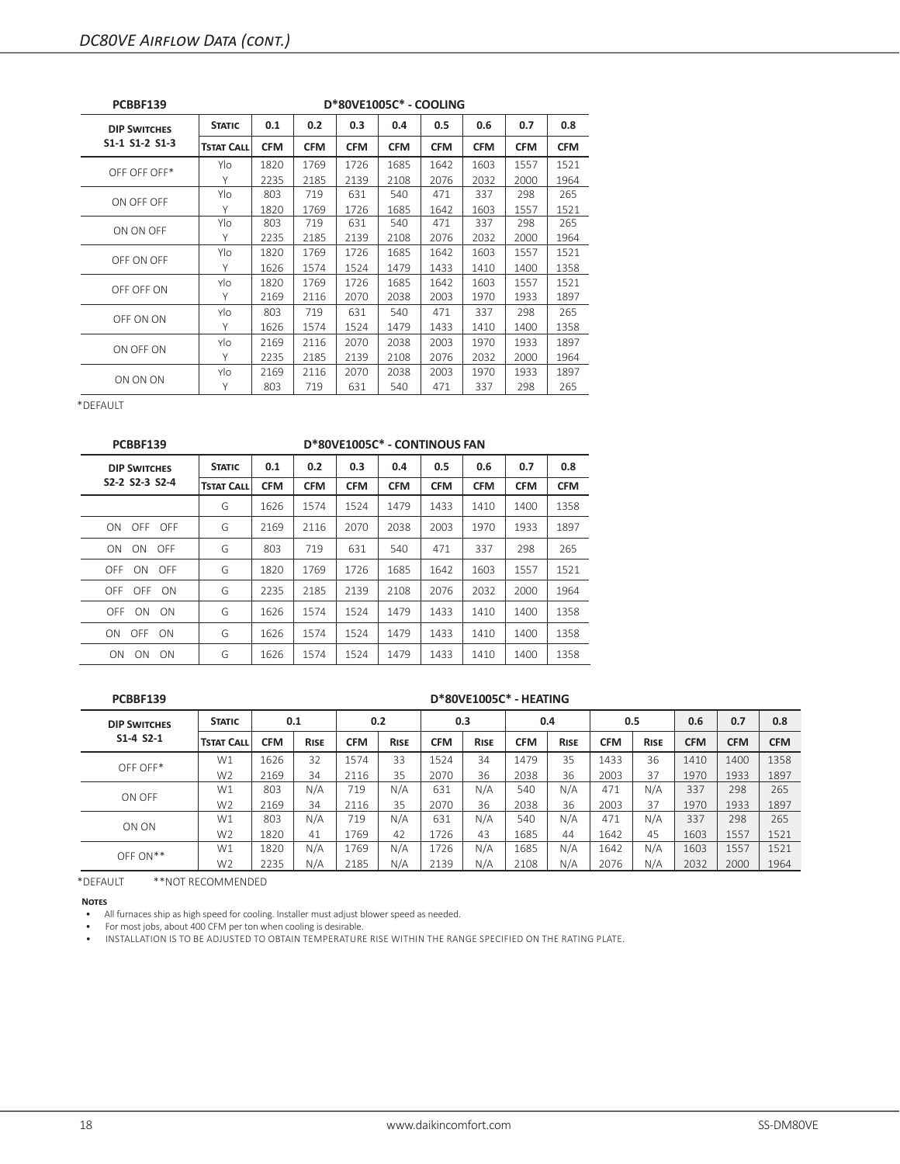| <b>PCBBF139</b>     | D*80VE1005C* - COOLING |            |            |            |            |            |            |            |            |  |
|---------------------|------------------------|------------|------------|------------|------------|------------|------------|------------|------------|--|
| <b>DIP SWITCHES</b> | <b>STATIC</b>          | 0.1        | 0.2        | 0.3        | 0.4        | 0.5        | 0.6        | 0.7        | 0.8        |  |
| S1-1 S1-2 S1-3      | <b>TSTAT CALL</b>      | <b>CFM</b> | <b>CFM</b> | <b>CFM</b> | <b>CFM</b> | <b>CFM</b> | <b>CFM</b> | <b>CFM</b> | <b>CFM</b> |  |
| OFF OFF OFF*        | Ylo                    | 1820       | 1769       | 1726       | 1685       | 1642       | 1603       | 1557       | 1521       |  |
|                     | Υ                      | 2235       | 2185       | 2139       | 2108       | 2076       | 2032       | 2000       | 1964       |  |
| ON OFF OFF          | Ylo                    | 803        | 719        | 631        | 540        | 471        | 337        | 298        | 265        |  |
|                     | Υ                      | 1820       | 1769       | 1726       | 1685       | 1642       | 1603       | 1557       | 1521       |  |
| ON ON OFF           | Ylo                    | 803        | 719        | 631        | 540        | 471        | 337        | 298        | 265        |  |
|                     | Υ                      | 2235       | 2185       | 2139       | 2108       | 2076       | 2032       | 2000       | 1964       |  |
| OFF ON OFF          | Ylo                    | 1820       | 1769       | 1726       | 1685       | 1642       | 1603       | 1557       | 1521       |  |
|                     | Υ                      | 1626       | 1574       | 1524       | 1479       | 1433       | 1410       | 1400       | 1358       |  |
| OFF OFF ON          | Ylo                    | 1820       | 1769       | 1726       | 1685       | 1642       | 1603       | 1557       | 1521       |  |
|                     | Υ                      | 2169       | 2116       | 2070       | 2038       | 2003       | 1970       | 1933       | 1897       |  |
|                     | Ylo                    | 803        | 719        | 631        | 540        | 471        | 337        | 298        | 265        |  |
| OFF ON ON           | Υ                      | 1626       | 1574       | 1524       | 1479       | 1433       | 1410       | 1400       | 1358       |  |
| ON OFF ON           | Ylo                    | 2169       | 2116       | 2070       | 2038       | 2003       | 1970       | 1933       | 1897       |  |
|                     | Υ                      | 2235       | 2185       | 2139       | 2108       | 2076       | 2032       | 2000       | 1964       |  |
|                     | Ylo                    | 2169       | 2116       | 2070       | 2038       | 2003       | 1970       | 1933       | 1897       |  |
| ON ON ON            | Υ                      | 803        | 719        | 631        | 540        | 471        | 337        | 298        | 265        |  |

| PCBBF139                                              | D*80VE1005C* - CONTINOUS FAN |            |            |            |            |            |            |            |            |  |
|-------------------------------------------------------|------------------------------|------------|------------|------------|------------|------------|------------|------------|------------|--|
| <b>DIP SWITCHES</b>                                   | <b>STATIC</b>                | 0.1        | 0.2        | 0.3        | 0.4        | 0.5        | 0.6        | 0.7        | 0.8        |  |
| S <sub>2</sub> -2 S <sub>2</sub> -3 S <sub>2</sub> -4 | <b>TSTAT CALL</b>            | <b>CFM</b> | <b>CFM</b> | <b>CFM</b> | <b>CFM</b> | <b>CFM</b> | <b>CFM</b> | <b>CFM</b> | <b>CFM</b> |  |
|                                                       | G                            | 1626       | 1574       | 1524       | 1479       | 1433       | 1410       | 1400       | 1358       |  |
| ON OFF OFF                                            | G                            | 2169       | 2116       | 2070       | 2038       | 2003       | 1970       | 1933       | 1897       |  |
| ON<br>ON.<br><b>OFF</b>                               | G                            | 803        | 719        | 631        | 540        | 471        | 337        | 298        | 265        |  |
| OFF ON OFF                                            | G                            | 1820       | 1769       | 1726       | 1685       | 1642       | 1603       | 1557       | 1521       |  |
| OFF OFF ON                                            | G                            | 2235       | 2185       | 2139       | 2108       | 2076       | 2032       | 2000       | 1964       |  |
| <b>OFF</b><br>ON ON                                   | G                            | 1626       | 1574       | 1524       | 1479       | 1433       | 1410       | 1400       | 1358       |  |
| ON OFF ON                                             | G                            | 1626       | 1574       | 1524       | 1479       | 1433       | 1410       | 1400       | 1358       |  |
| ON<br>ON<br>ON                                        | G                            | 1626       | 1574       | 1524       | 1479       | 1433       | 1410       | 1400       | 1358       |  |

**PCBBF139 D\*80VE1005C\* - HEATING**

| <b>DIP SWITCHES</b> | <b>STATIC</b>     | 0.1        |             |            | 0.2         |            | 0.3         |            | 0.4         | 0.5        |             | 0.6        | 0.7        | 0.8        |
|---------------------|-------------------|------------|-------------|------------|-------------|------------|-------------|------------|-------------|------------|-------------|------------|------------|------------|
| $S1 - 4 S2 - 1$     | <b>TSTAT CALL</b> | <b>CFM</b> | <b>RISE</b> | <b>CFM</b> | <b>RISE</b> | <b>CFM</b> | <b>RISE</b> | <b>CFM</b> | <b>RISE</b> | <b>CFM</b> | <b>RISE</b> | <b>CFM</b> | <b>CFM</b> | <b>CFM</b> |
| OFF OFF*            | W1                | 1626       | 32          | 1574       | 33          | 1524       | 34          | 1479       | 35          | 1433       | 36          | 1410       | 1400       | 1358       |
|                     | W <sub>2</sub>    | 2169       | 34          | 2116       | 35          | 2070       | 36          | 2038       | 36          | 2003       | 37          | 1970       | 1933       | 1897       |
| ON OFF              | W1                | 803        | N/A         | 719        | N/A         | 631        | N/A         | 540        | N/A         | 471        | N/A         | 337        | 298        | 265        |
|                     | W <sub>2</sub>    | 2169       | 34          | 2116       | 35          | 2070       | 36          | 2038       | 36          | 2003       | 37          | 1970       | 1933       | 1897       |
| ON ON               | W1                | 803        | N/A         | 719        | N/A         | 631        | N/A         | 540        | N/A         | 471        | N/A         | 337        | 298        | 265        |
|                     | W <sub>2</sub>    | 1820       | 41          | 1769       | 42          | 1726       | 43          | 1685       | 44          | 1642       | 45          | 1603       | 1557       | 1521       |
| $OFF ON**$          | W1                | 1820       | N/A         | 1769       | N/A         | 1726       | N/A         | 1685       | N/A         | 1642       | N/A         | 1603       | 1557       | 1521       |
|                     | W <sub>2</sub>    | 2235       | N/A         | 2185       | N/A         | 2139       | N/A         | 2108       | N/A         | 2076       | N/A         | 2032       | 2000       | 1964       |

\*DEFAULT \*\*NOT RECOMMENDED

**Notes**

• All furnaces ship as high speed for cooling. Installer must adjust blower speed as needed.

• For most jobs, about 400 CFM per ton when cooling is desirable.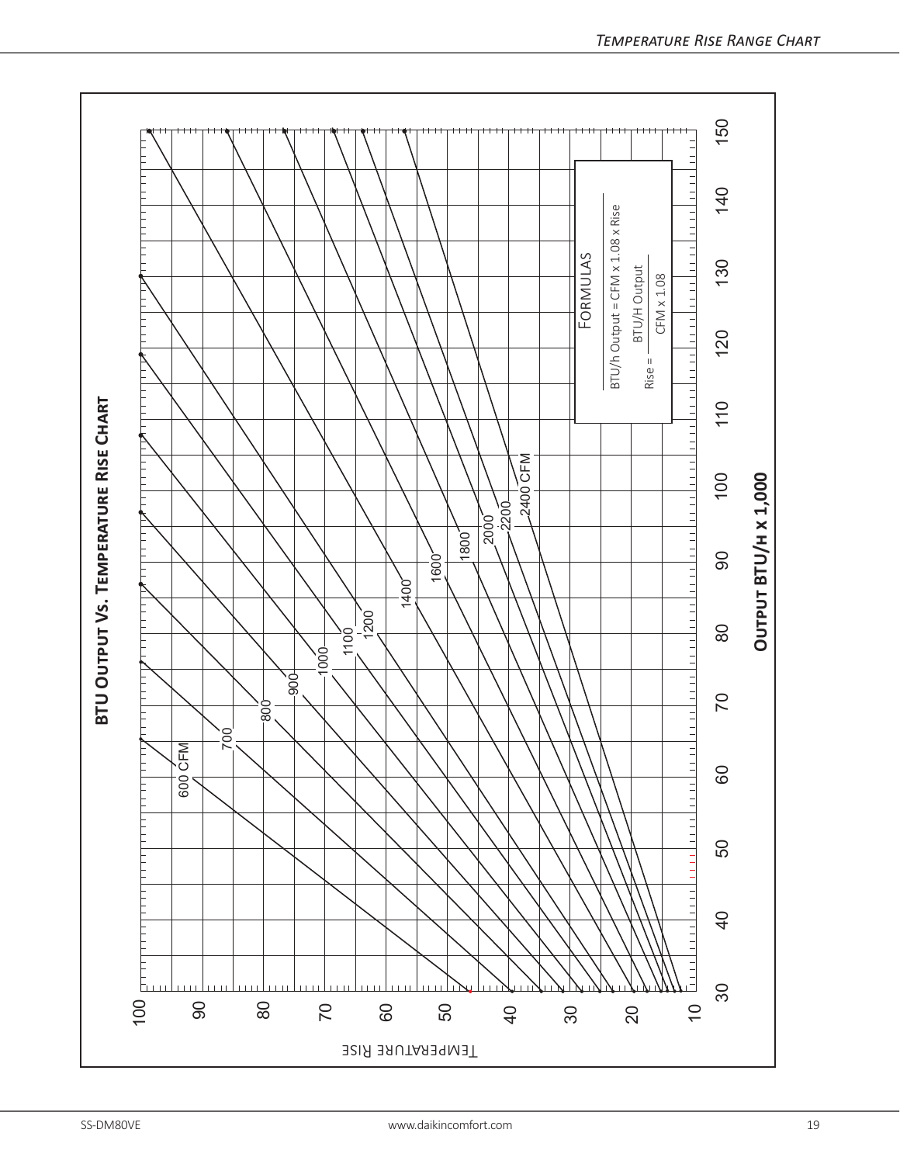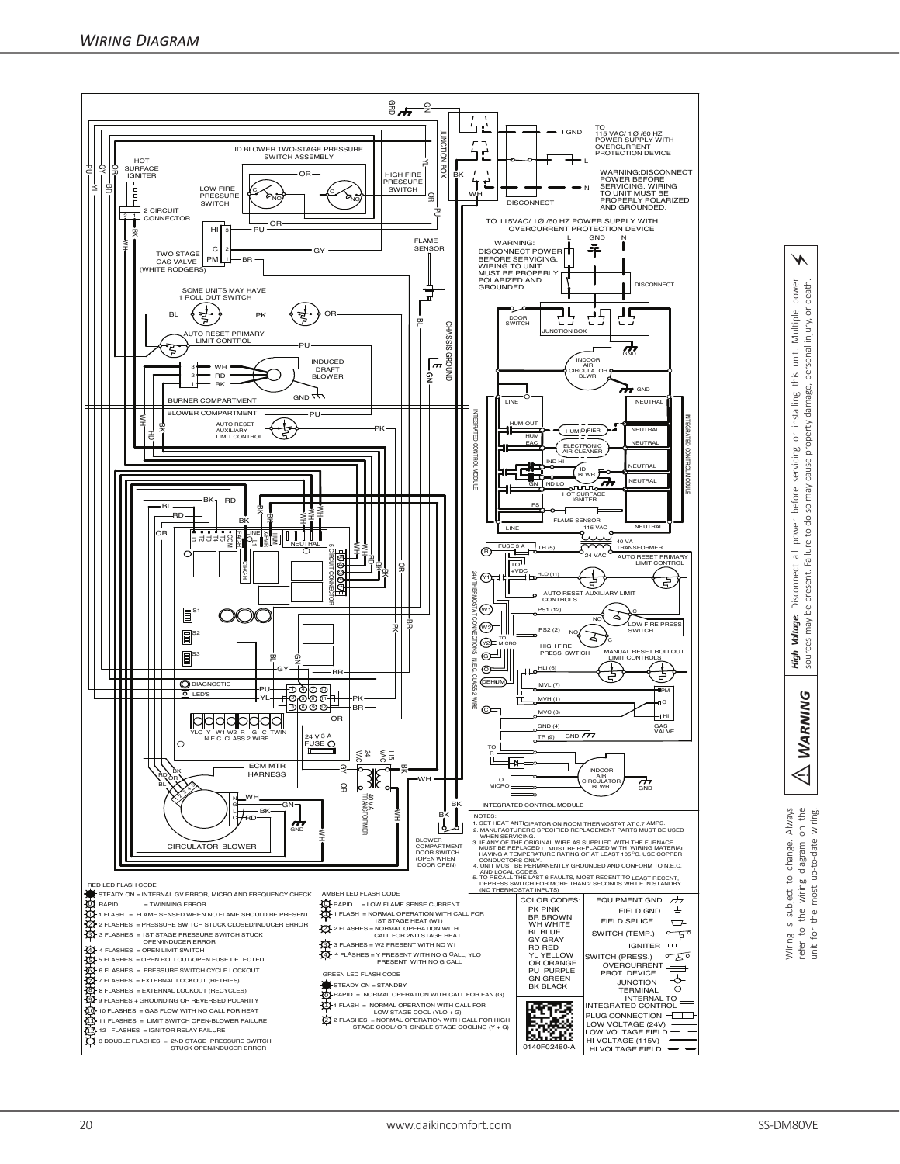

⚠*Warning High Voltage:* Disconnect all power before servicing or installing this unit. Multiple power sources may be present. Failure to do so may cause property damage, personal injury, or death. power death. Multiple injury, or personal unit. this damage, installing cause property  $rac{1}{\sigma}$ power before servicing so may Failure to do Disconnect all present. may be Voltage: High Vol

⚡

**WARNING**  $\Leftrightarrow$ Wiring is subject to change. Always<br>refer to the wiring diagram on the<br>unit for the most up-to-date wiring. Wiring is subject to change. Always refer to the wiring diagram on the unit for the most up-to-date wiring.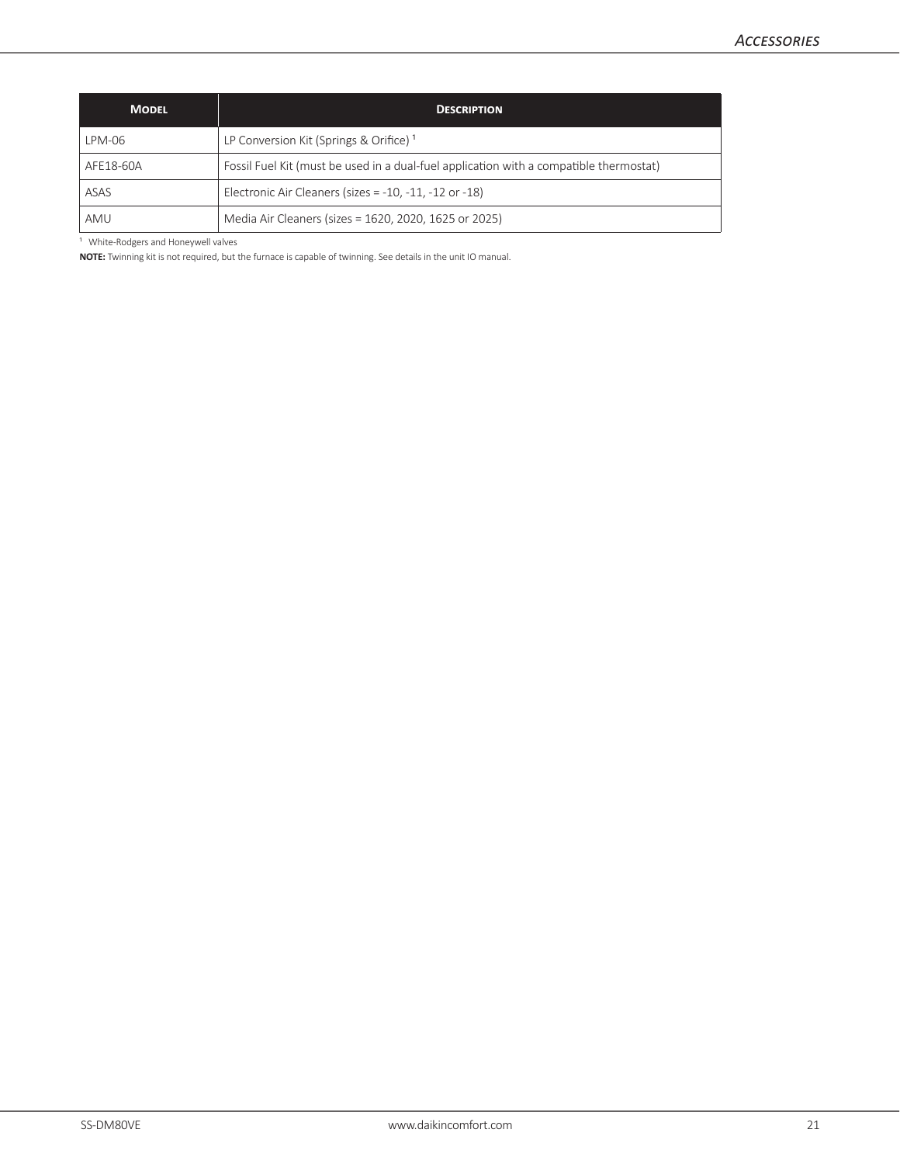| <b>MODEL</b> | <b>DESCRIPTION</b>                                                                     |
|--------------|----------------------------------------------------------------------------------------|
| LPM-06       | LP Conversion Kit (Springs & Orifice) <sup>1</sup>                                     |
| AFE18-60A    | Fossil Fuel Kit (must be used in a dual-fuel application with a compatible thermostat) |
| ASAS         | Electronic Air Cleaners (sizes = $-10$ , $-11$ , $-12$ or $-18$ )                      |
| AMU          | Media Air Cleaners (sizes = 1620, 2020, 1625 or 2025)                                  |

<sup>1</sup> White-Rodgers and Honeywell valves

**NOTE:** Twinning kit is not required, but the furnace is capable of twinning. See details in the unit IO manual.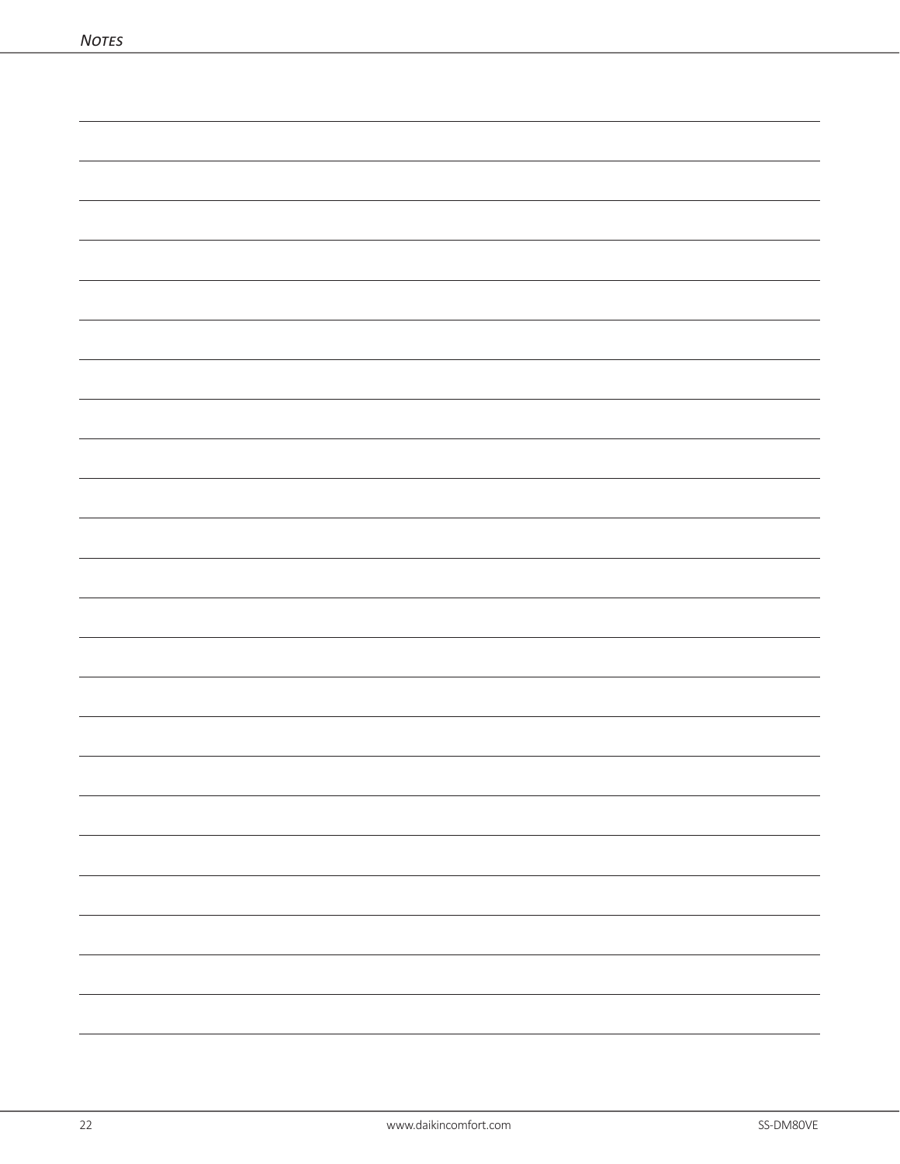| $\overline{\phantom{0}}$ |
|--------------------------|
| -                        |
|                          |
|                          |
| $\overline{\phantom{0}}$ |
| $\overline{\phantom{0}}$ |
|                          |
| $\overline{\phantom{0}}$ |
|                          |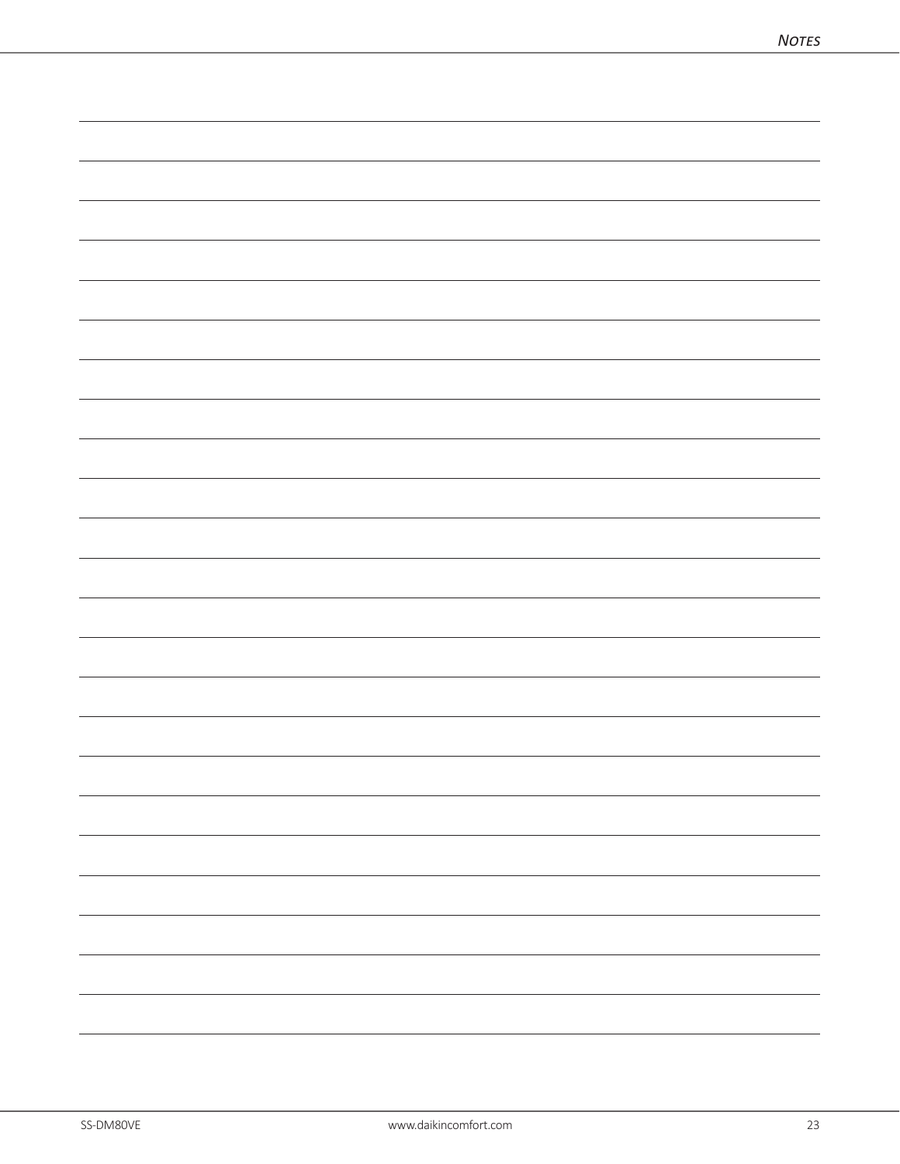| $\overline{\phantom{0}}$ |
|--------------------------|
|                          |
|                          |
|                          |
|                          |
| $\overline{\phantom{0}}$ |
|                          |
| $\overline{\phantom{a}}$ |